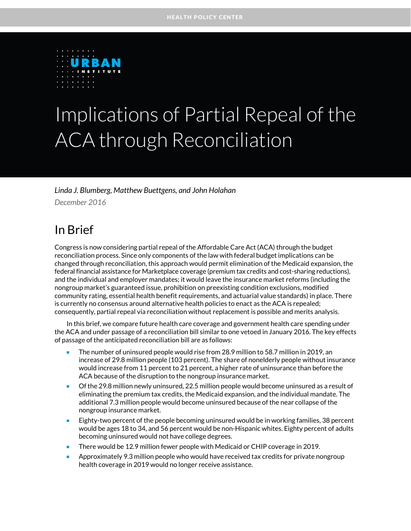

# Implications of Partial Repeal of the ACA through Reconciliation

*Linda J. Blumberg, Matthew Buettgens, and John Holahan*

*December 2016*

### In Brief

Congress is now considering partial repeal of the Affordable Care Act (ACA) through the budget reconciliation process. Since only components of the law with federal budget implications can be changed through reconciliation, this approach would permit elimination of the Medicaid expansion, the federal financial assistance for Marketplace coverage (premium tax credits and cost-sharing reductions), and the individual and employer mandates; it would leave the insurance market reforms (including the nongroup market's guaranteed issue, prohibition on preexisting condition exclusions, modified community rating, essential health benefit requirements, and actuarial value standards) in place. There is currently no consensus around alternative health policies to enact as the ACA is repealed; consequently, partial repeal via reconciliation without replacement is possible and merits analysis.

In this brief, we compare future health care coverage and government health care spending under the ACA and under passage of a reconciliation bill similar to one vetoed in January 2016. The key effects of passage of the anticipated reconciliation bill are as follows:

- The number of uninsured people would rise from 28.9 million to 58.7 million in 2019, an increase of 29.8 million people (103 percent). The share of nonelderly people without insurance would increase from 11 percent to 21 percent, a higher rate of uninsurance than before the ACA because of the disruption to the nongroup insurance market.
- Of the 29.8 million newly uninsured, 22.5 million people would become uninsured as a result of eliminating the premium tax credits, the Medicaid expansion, and the individual mandate. The additional 7.3 million people would become uninsured because of the near collapse of the nongroup insurance market.
- **Eighty-two percent of the people becoming uninsured would be in working families, 38 percent** would be ages 18 to 34, and 56 percent would be non-Hispanic whites. Eighty percent of adults becoming uninsured would not have college degrees.
- There would be 12.9 million fewer people with Medicaid or CHIP coverage in 2019.
- **Approximately 9.3 million people who would have received tax credits for private nongroup** health coverage in 2019 would no longer receive assistance.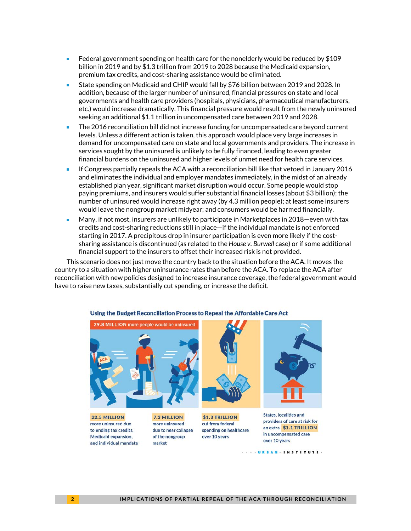- Federal government spending on health care for the nonelderly would be reduced by \$109 billion in 2019 and by \$1.3 trillion from 2019 to 2028 because the Medicaid expansion, premium tax credits, and cost-sharing assistance would be eliminated.
- State spending on Medicaid and CHIP would fall by \$76 billion between 2019 and 2028. In addition, because of the larger number of uninsured, financial pressures on state and local governments and health care providers (hospitals, physicians, pharmaceutical manufacturers, etc.) would increase dramatically. This financial pressure would result from the newly uninsured seeking an additional \$1.1 trillion in uncompensated care between 2019 and 2028.
- The 2016 reconciliation bill did not increase funding for uncompensated care beyond current levels. Unless a different action is taken, this approach would place very large increases in demand for uncompensated care on state and local governments and providers. The increase in services sought by the uninsured is unlikely to be fully financed, leading to even greater financial burdens on the uninsured and higher levels of unmet need for health care services.
- If Congress partially repeals the ACA with a reconciliation bill like that vetoed in January 2016 and eliminates the individual and employer mandates immediately, in the midst of an already established plan year, significant market disruption would occur. Some people would stop paying premiums, and insurers would suffer substantial financial losses (about \$3 billion); the number of uninsured would increase right away (by 4.3 million people); at least some insurers would leave the nongroup market midyear; and consumers would be harmed financially.
- Many, if not most, insurers are unlikely to participate in Marketplaces in 2018—even with tax credits and cost-sharing reductions still in place—if the individual mandate is not enforced starting in 2017. A precipitous drop in insurer participation is even more likely if the costsharing assistance is discontinued (as related to the *House v. Burwell* case) or if some additional financial support to the insurers to offset their increased risk is not provided.

This scenario does not just move the country back to the situation before the ACA. It moves the country to a situation with higher uninsurance rates than before the ACA. To replace the ACA after reconciliation with new policies designed to increase insurance coverage, the federal government would have to raise new taxes, substantially cut spending, or increase the deficit.



#### Using the Budget Reconciliation Process to Repeal the Affordable Care Act

22.5 MILLION more uninsured due to ending tax credits, Medicaid expansion, and individual mandate

7.3 MILLION more uninsured due to near collapse of the nongroup market



\$1.3 TRILLION

spending on healthcare

cut from federal

over 10 years



**States, localities and** providers of care at risk for an extra \$1.1 TRILLION in uncompensated care over 10 years

. . . URBAN . INSTITUTE .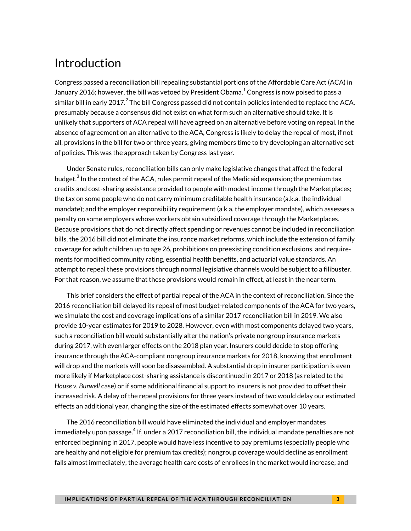### Introduction

Congress passed a reconciliation bill repealing substantial portions of the Affordable Care Act (ACA) in January 20[1](#page-29-0)6; however, the bill was vetoed by President Obama. $^1$  Congress is now poised to pass a similar bill in early [2](#page-29-1)017. $^2$  The bill Congress passed did not contain policies intended to replace the ACA, presumably because a consensus did not exist on what form such an alternative should take. It is unlikely that supporters of ACA repeal will have agreed on an alternative before voting on repeal. In the absence of agreement on an alternative to the ACA, Congress is likely to delay the repeal of most, if not all, provisions in the bill for two or three years, giving members time to try developing an alternative set of policies. This was the approach taken by Congress last year.

Under Senate rules, reconciliation bills can only make legislative changes that affect the federal budget. $^3$  $^3$  In the context of the ACA, rules permit repeal of the Medicaid expansion; the premium tax credits and cost-sharing assistance provided to people with modest income through the Marketplaces; the tax on some people who do not carry minimum creditable health insurance (a.k.a. the individual mandate); and the employer responsibility requirement (a.k.a. the employer mandate), which assesses a penalty on some employers whose workers obtain subsidized coverage through the Marketplaces. Because provisions that do not directly affect spending or revenues cannot be included in reconciliation bills, the 2016 bill did not eliminate the insurance market reforms, which include the extension of family coverage for adult children up to age 26, prohibitions on preexisting condition exclusions, and requirements for modified community rating, essential health benefits, and actuarial value standards. An attempt to repeal these provisions through normal legislative channels would be subject to a filibuster. For that reason, we assume that these provisions would remain in effect, at least in the near term.

This brief considers the effect of partial repeal of the ACA in the context of reconciliation. Since the 2016 reconciliation bill delayed its repeal of most budget-related components of the ACA for two years, we simulate the cost and coverage implications of a similar 2017 reconciliation bill in 2019. We also provide 10-year estimates for 2019 to 2028. However, even with most components delayed two years, such a reconciliation bill would substantially alter the nation's private nongroup insurance markets during 2017, with even larger effects on the 2018 plan year. Insurers could decide to stop offering insurance through the ACA-compliant nongroup insurance markets for 2018, knowing that enrollment will drop and the markets will soon be disassembled. A substantial drop in insurer participation is even more likely if Marketplace cost-sharing assistance is discontinued in 2017 or 2018 (as related to the *House v. Burwell* case) or if some additional financial support to insurers is not provided to offset their increased risk. A delay of the repeal provisions for three years instead of two would delay our estimated effects an additional year, changing the size of the estimated effects somewhat over 10 years.

The 2016 reconciliation bill would have eliminated the individual and employer mandates immediately upon passage. $^4$  $^4$  If, under a 2017 reconciliation bill, the individual mandate penalties are not enforced beginning in 2017, people would have less incentive to pay premiums (especially people who are healthy and not eligible for premium tax credits); nongroup coverage would decline as enrollment falls almost immediately; the average health care costs of enrollees in the market would increase; and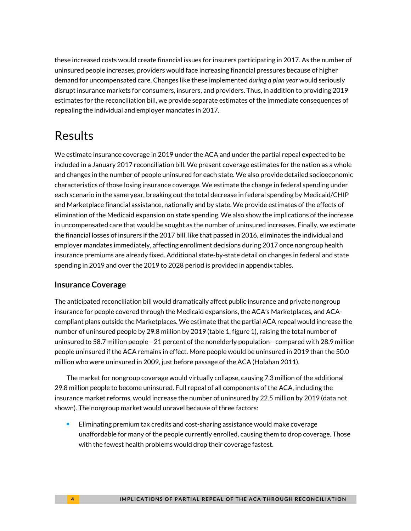these increased costs would create financial issues for insurers participating in 2017. As the number of uninsured people increases, providers would face increasing financial pressures because of higher demand for uncompensated care. Changes like these implemented *during a plan year* would seriously disrupt insurance markets for consumers, insurers, and providers. Thus, in addition to providing 2019 estimates for the reconciliation bill, we provide separate estimates of the immediate consequences of repealing the individual and employer mandates in 2017.

## Results

We estimate insurance coverage in 2019 under the ACA and under the partial repeal expected to be included in a January 2017 reconciliation bill. We present coverage estimates for the nation as a whole and changes in the number of people uninsured for each state. We also provide detailed socioeconomic characteristics of those losing insurance coverage. We estimate the change in federal spending under each scenario in the same year, breaking out the total decrease in federal spending by Medicaid/CHIP and Marketplace financial assistance, nationally and by state. We provide estimates of the effects of elimination of the Medicaid expansion on state spending. We also show the implications of the increase in uncompensated care that would be sought as the number of uninsured increases. Finally, we estimate the financial losses of insurers if the 2017 bill, like that passed in 2016, eliminates the individual and employer mandates immediately, affecting enrollment decisions during 2017 once nongroup health insurance premiums are already fixed. Additional state-by-state detail on changes in federal and state spending in 2019 and over the 2019 to 2028 period is provided in appendix tables.

### **Insurance Coverage**

The anticipated reconciliation bill would dramatically affect public insurance and private nongroup insurance for people covered through the Medicaid expansions, the ACA's Marketplaces, and ACAcompliant plans outside the Marketplaces. We estimate that the partial ACA repeal would increase the number of uninsured people by 29.8 million by 2019 (table 1, figure 1), raising the total number of uninsured to 58.7 million people—21 percent of the nonelderly population—compared with 28.9 million people uninsured if the ACA remains in effect. More people would be uninsured in 2019 than the 50.0 million who were uninsured in 2009, just before passage of the ACA (Holahan 2011).

The market for nongroup coverage would virtually collapse, causing 7.3 million of the additional 29.8 million people to become uninsured. Full repeal of all components of the ACA, including the insurance market reforms, would increase the number of uninsured by 22.5 million by 2019 (data not shown). The nongroup market would unravel because of three factors:

 Eliminating premium tax credits and cost-sharing assistance would make coverage unaffordable for many of the people currently enrolled, causing them to drop coverage. Those with the fewest health problems would drop their coverage fastest.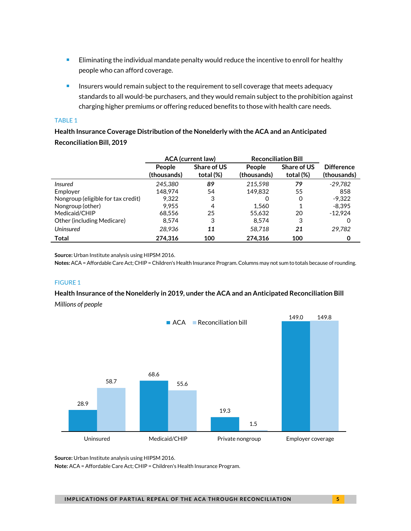- **Eliminating the individual mandate penalty would reduce the incentive to enroll for healthy** people who can afford coverage.
- **Insurers would remain subject to the requirement to sell coverage that meets adequacy** standards to all would-be purchasers, and they would remain subject to the prohibition against charging higher premiums or offering reduced benefits to those with health care needs.

#### TABLE 1

**Health Insurance Coverage Distribution of the Nonelderly with the ACA and an Anticipated Reconciliation Bill, 2019**

|                                    | <b>ACA</b> (current law) |                          | <b>Reconciliation Bill</b>   |                                 |                                  |
|------------------------------------|--------------------------|--------------------------|------------------------------|---------------------------------|----------------------------------|
|                                    | People<br>(thousands)    | Share of US<br>total (%) | <b>People</b><br>(thousands) | <b>Share of US</b><br>total (%) | <b>Difference</b><br>(thousands) |
| <b>Insured</b>                     | 245.380                  | 89                       | 215,598                      | 79                              | $-29.782$                        |
| Employer                           | 148.974                  | 54                       | 149,832                      | 55                              | 858                              |
| Nongroup (eligible for tax credit) | 9,322                    | 3                        | 0                            | 0                               | $-9.322$                         |
| Nongroup (other)                   | 9.955                    | 4                        | 1.560                        |                                 | $-8.395$                         |
| Medicaid/CHIP                      | 68.556                   | 25                       | 55.632                       | 20                              | $-12.924$                        |
| Other (including Medicare)         | 8,574                    | 3                        | 8.574                        | 3                               | O                                |
| Uninsured                          | 28.936                   | 11                       | 58.718                       | 21                              | 29,782                           |
| Total                              | 274,316                  | 100                      | 274,316                      | 100                             | 0                                |

**Source:** Urban Institute analysis using HIPSM 2016.

**Notes:**ACA = Affordable Care Act; CHIP = Children's Health Insurance Program.Columns may not sum to totals because of rounding.

#### FIGURE 1

#### **Health Insurance of the Nonelderly in 2019, under the ACA and an Anticipated Reconciliation Bill**

*Millions of people*



**Source:** Urban Institute analysis using HIPSM 2016.

**Note:** ACA = Affordable Care Act; CHIP = Children's Health Insurance Program.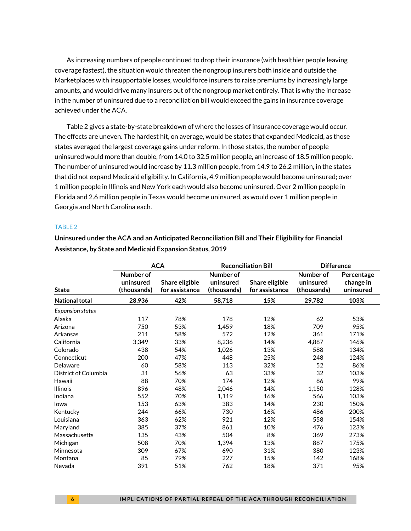As increasing numbers of people continued to drop their insurance (with healthier people leaving coverage fastest), the situation would threaten the nongroup insurers both inside and outside the Marketplaces with insupportable losses, would force insurers to raise premiums by increasingly large amounts, and would drive many insurers out of the nongroup market entirely. That is why the increase in the number of uninsured due to a reconciliation bill would exceed the gains in insurance coverage achieved under the ACA.

Table 2 gives a state-by-state breakdown of where the losses of insurance coverage would occur. The effects are uneven. The hardest hit, on average, would be states that expanded Medicaid, as those states averaged the largest coverage gains under reform. In those states, the number of people uninsured would more than double, from 14.0 to 32.5 million people, an increase of 18.5 million people. The number of uninsured would increase by 11.3 million people, from 14.9 to 26.2 million, in the states that did not expand Medicaid eligibility. In California, 4.9 million people would become uninsured; over 1 million people in Illinois and New York each would also become uninsured. Over 2 million people in Florida and 2.6 million people in Texas would become uninsured, as would over 1 million people in Georgia and North Carolina each.

#### TABLE 2

|                         |                                       | <b>ACA</b>                       |                                       | <b>Reconciliation Bill</b>       | <b>Difference</b>                     |                                      |
|-------------------------|---------------------------------------|----------------------------------|---------------------------------------|----------------------------------|---------------------------------------|--------------------------------------|
| <b>State</b>            | Number of<br>uninsured<br>(thousands) | Share eligible<br>for assistance | Number of<br>uninsured<br>(thousands) | Share eligible<br>for assistance | Number of<br>uninsured<br>(thousands) | Percentage<br>change in<br>uninsured |
| <b>National total</b>   | 28,936                                | 42%                              | 58,718                                | 15%                              | 29,782                                | 103%                                 |
| <b>Expansion states</b> |                                       |                                  |                                       |                                  |                                       |                                      |
| Alaska                  | 117                                   | 78%                              | 178                                   | 12%                              | 62                                    | 53%                                  |
| Arizona                 | 750                                   | 53%                              | 1,459                                 | 18%                              | 709                                   | 95%                                  |
| Arkansas                | 211                                   | 58%                              | 572                                   | 12%                              | 361                                   | 171%                                 |
| California              | 3,349                                 | 33%                              | 8,236                                 | 14%                              | 4,887                                 | 146%                                 |
| Colorado                | 438                                   | 54%                              | 1,026                                 | 13%                              | 588                                   | 134%                                 |
| Connecticut             | 200                                   | 47%                              | 448                                   | 25%                              | 248                                   | 124%                                 |
| Delaware                | 60                                    | 58%                              | 113                                   | 32%                              | 52                                    | 86%                                  |
| District of Columbia    | 31                                    | 56%                              | 63                                    | 33%                              | 32                                    | 103%                                 |
| Hawaii                  | 88                                    | 70%                              | 174                                   | 12%                              | 86                                    | 99%                                  |
| <b>Illinois</b>         | 896                                   | 48%                              | 2,046                                 | 14%                              | 1,150                                 | 128%                                 |
| Indiana                 | 552                                   | 70%                              | 1,119                                 | 16%                              | 566                                   | 103%                                 |
| Iowa                    | 153                                   | 63%                              | 383                                   | 14%                              | 230                                   | 150%                                 |
| Kentucky                | 244                                   | 66%                              | 730                                   | 16%                              | 486                                   | 200%                                 |
| Louisiana               | 363                                   | 62%                              | 921                                   | 12%                              | 558                                   | 154%                                 |
| Maryland                | 385                                   | 37%                              | 861                                   | 10%                              | 476                                   | 123%                                 |
| Massachusetts           | 135                                   | 43%                              | 504                                   | 8%                               | 369                                   | 273%                                 |
| Michigan                | 508                                   | 70%                              | 1,394                                 | 13%                              | 887                                   | 175%                                 |
| Minnesota               | 309                                   | 67%                              | 690                                   | 31%                              | 380                                   | 123%                                 |
| Montana                 | 85                                    | 79%                              | 227                                   | 15%                              | 142                                   | 168%                                 |
| Nevada                  | 391                                   | 51%                              | 762                                   | 18%                              | 371                                   | 95%                                  |

**Uninsured under the ACA and an Anticipated Reconciliation Bill and Their Eligibility for Financial Assistance, by State and Medicaid Expansion Status, 2019**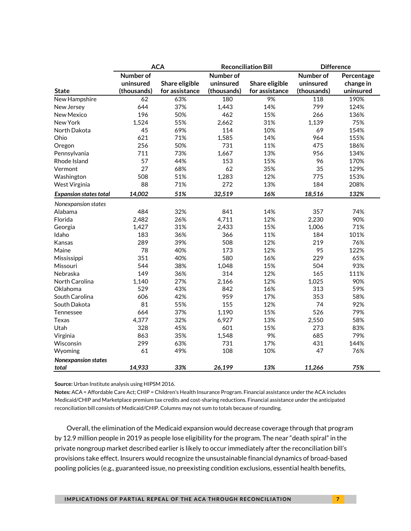|                               | <b>ACA</b>  |                |             | <b>Reconciliation Bill</b> | <b>Difference</b> |            |
|-------------------------------|-------------|----------------|-------------|----------------------------|-------------------|------------|
|                               | Number of   |                | Number of   |                            | Number of         | Percentage |
|                               | uninsured   | Share eligible | uninsured   | Share eligible             | uninsured         | change in  |
| <b>State</b>                  | (thousands) | for assistance | (thousands) | for assistance             | (thousands)       | uninsured  |
| New Hampshire                 | 62          | 63%            | 180         | 9%                         | 118               | 190%       |
| New Jersey                    | 644         | 37%            | 1,443       | 14%                        | 799               | 124%       |
| New Mexico                    | 196         | 50%            | 462         | 15%                        | 266               | 136%       |
| New York                      | 1,524       | 55%            | 2,662       | 31%                        | 1,139             | 75%        |
| North Dakota                  | 45          | 69%            | 114         | 10%                        | 69                | 154%       |
| Ohio                          | 621         | 71%            | 1,585       | 14%                        | 964               | 155%       |
| Oregon                        | 256         | 50%            | 731         | 11%                        | 475               | 186%       |
| Pennsylvania                  | 711         | 73%            | 1,667       | 13%                        | 956               | 134%       |
| Rhode Island                  | 57          | 44%            | 153         | 15%                        | 96                | 170%       |
| Vermont                       | 27          | 68%            | 62          | 35%                        | 35                | 129%       |
| Washington                    | 508         | 51%            | 1,283       | 12%                        | 775               | 153%       |
| West Virginia                 | 88          | 71%            | 272         | 13%                        | 184               | 208%       |
| <b>Expansion states total</b> | 14,002      | 51%            | 32,519      | 16%                        | 18,516            | 132%       |
| Nonexpansion states           |             |                |             |                            |                   |            |
| Alabama                       | 484         | 32%            | 841         | 14%                        | 357               | 74%        |
| Florida                       | 2,482       | 26%            | 4,711       | 12%                        | 2,230             | 90%        |
| Georgia                       | 1,427       | 31%            | 2,433       | 15%                        | 1,006             | 71%        |
| Idaho                         | 183         | 36%            | 366         | 11%                        | 184               | 101%       |
| Kansas                        | 289         | 39%            | 508         | 12%                        | 219               | 76%        |
| Maine                         | 78          | 40%            | 173         | 12%                        | 95                | 122%       |
| Mississippi                   | 351         | 40%            | 580         | 16%                        | 229               | 65%        |
| Missouri                      | 544         | 38%            | 1,048       | 15%                        | 504               | 93%        |
| Nebraska                      | 149         | 36%            | 314         | 12%                        | 165               | 111%       |
| North Carolina                | 1,140       | 27%            | 2,166       | 12%                        | 1,025             | 90%        |
| Oklahoma                      | 529         | 43%            | 842         | 16%                        | 313               | 59%        |
| South Carolina                | 606         | 42%            | 959         | 17%                        | 353               | 58%        |
| South Dakota                  | 81          | 55%            | 155         | 12%                        | 74                | 92%        |
| Tennessee                     | 664         | 37%            | 1,190       | 15%                        | 526               | 79%        |
| Texas                         | 4,377       | 32%            | 6,927       | 13%                        | 2,550             | 58%        |
| Utah                          | 328         | 45%            | 601         | 15%                        | 273               | 83%        |
| Virginia                      | 863         | 35%            | 1,548       | 9%                         | 685               | 79%        |
| Wisconsin                     | 299         | 63%            | 731         | 17%                        | 431               | 144%       |
| Wyoming                       | 61          | 49%            | 108         | 10%                        | 47                | 76%        |
| Nonexpansion states           |             |                |             |                            |                   |            |
| total                         | 14,933      | 33%            | 26,199      | 13%                        | 11,266            | 75%        |

**Notes:** ACA = Affordable Care Act; CHIP = Children's Health Insurance Program. Financial assistance under the ACA includes Medicaid/CHIP and Marketplace premium tax credits and cost-sharing reductions. Financial assistance under the anticipated reconciliation bill consists of Medicaid/CHIP. Columns may not sum to totals because of rounding.

Overall, the elimination of the Medicaid expansion would decrease coverage through that program by 12.9 million people in 2019 as people lose eligibility for the program. The near "death spiral" in the private nongroup market described earlier is likely to occur immediately after the reconciliation bill's provisions take effect. Insurers would recognize the unsustainable financial dynamics of broad-based pooling policies (e.g., guaranteed issue, no preexisting condition exclusions, essential health benefits,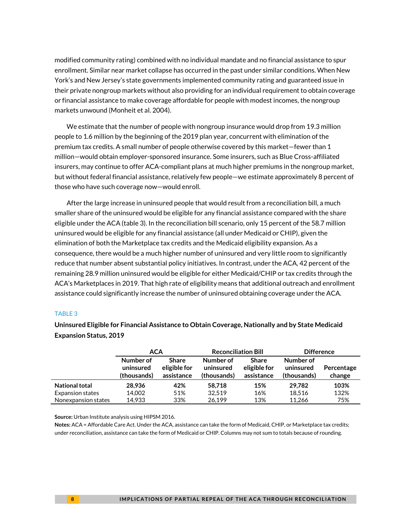modified community rating) combined with no individual mandate and no financial assistance to spur enrollment. Similar near market collapse has occurred in the past under similar conditions. When New York's and New Jersey's state governments implemented community rating and guaranteed issue in their private nongroup markets without also providing for an individual requirement to obtain coverage or financial assistance to make coverage affordable for people with modest incomes, the nongroup markets unwound (Monheit et al. 2004).

We estimate that the number of people with nongroup insurance would drop from 19.3 million people to 1.6 million by the beginning of the 2019 plan year, concurrent with elimination of the premium tax credits. A small number of people otherwise covered by this market—fewer than 1 million—would obtain employer-sponsored insurance. Some insurers, such as Blue Cross-affiliated insurers, may continue to offer ACA-compliant plans at much higher premiums in the nongroup market, but without federal financial assistance, relatively few people—we estimate approximately 8 percent of those who have such coverage now—would enroll.

After the large increase in uninsured people that would result from a reconciliation bill, a much smaller share of the uninsured would be eligible for any financial assistance compared with the share eligible under the ACA (table 3). In the reconciliation bill scenario, only 15 percent of the 58.7 million uninsured would be eligible for any financial assistance (all under Medicaid or CHIP), given the elimination of both the Marketplace tax credits and the Medicaid eligibility expansion. As a consequence, there would be a much higher number of uninsured and very little room to significantly reduce that number absent substantial policy initiatives. In contrast, under the ACA, 42 percent of the remaining 28.9 million uninsured would be eligible for either Medicaid/CHIP or tax credits through the ACA's Marketplaces in 2019. That high rate of eligibility means that additional outreach and enrollment assistance could significantly increase the number of uninsured obtaining coverage under the ACA.

#### TABLE 3

**Uninsured Eligible for Financial Assistance to Obtain Coverage, Nationally and by State Medicaid Expansion Status, 2019** 

|                         | <b>ACA</b>                            |                                            | <b>Reconciliation Bill</b>            |                                            | <b>Difference</b>                     |                      |
|-------------------------|---------------------------------------|--------------------------------------------|---------------------------------------|--------------------------------------------|---------------------------------------|----------------------|
|                         | Number of<br>uninsured<br>(thousands) | <b>Share</b><br>eligible for<br>assistance | Number of<br>uninsured<br>(thousands) | <b>Share</b><br>eligible for<br>assistance | Number of<br>uninsured<br>(thousands) | Percentage<br>change |
| <b>National total</b>   | 28,936                                | 42%                                        | 58.718                                | 15%                                        | 29.782                                | 103%                 |
| <b>Expansion states</b> | 14,002                                | 51%                                        | 32.519                                | 16%                                        | 18,516                                | 132%                 |
| Nonexpansion states     | 14.933                                | 33%                                        | 26.199                                | 13%                                        | 11.266                                | 75%                  |

**Source:** Urban Institute analysis using HIPSM 2016.

**Notes:** ACA = Affordable Care Act. Under the ACA, assistance can take the form of Medicaid, CHIP, or Marketplace tax credits; under reconciliation, assistance can take the form of Medicaid or CHIP. Columns may not sum to totals because of rounding.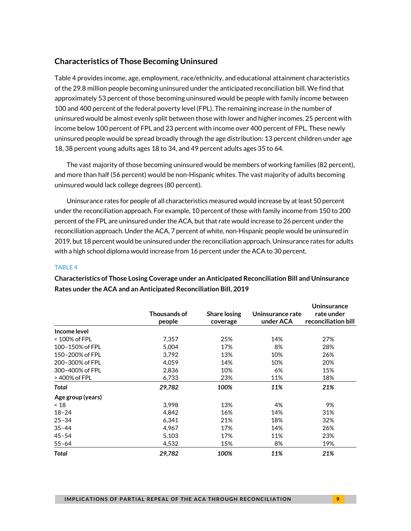#### **Characteristics of Those Becoming Uninsured**

Table 4 provides income, age, employment, race/ethnicity, and educational attainment characteristics of the 29.8 million people becoming uninsured under the anticipated reconciliation bill. We find that approximately 53 percent of those becoming uninsured would be people with family income between 100 and 400 percent of the federal poverty level (FPL). The remaining increase in the number of uninsured would be almost evenly split between those with lower and higher incomes, 25 percent with income below 100 percent of FPL and 23 percent with income over 400 percent of FPL. These newly uninsured people would be spread broadly through the age distribution: 13 percent children under age 18, 38 percent young adults ages 18 to 34, and 49 percent adults ages 35 to 64.

The vast majority of those becoming uninsured would be members of working families (82 percent), and more than half (56 percent) would be non-Hispanic whites. The vast majority of adults becoming uninsured would lack college degrees (80 percent).

Uninsurance rates for people of all characteristics measured would increase by at least 50 percent under the reconciliation approach. For example, 10 percent of those with family income from 150 to 200 percent of the FPL are uninsured under the ACA, but that rate would increase to 26 percent under the reconciliation approach. Under the ACA, 7 percent of white, non-Hispanic people would be uninsured in 2019, but 18 percent would be uninsured under the reconciliation approach. Uninsurance rates for adults with a high school diploma would increase from 16 percent under the ACA to 30 percent.

#### TABLE 4

|                   | <b>Thousands of</b><br>people | <b>Share losing</b><br>coverage | Uninsurance rate<br>under ACA | Uninsurance<br>rate under<br>reconciliation bill |
|-------------------|-------------------------------|---------------------------------|-------------------------------|--------------------------------------------------|
| Income level      |                               |                                 |                               |                                                  |
| < 100% of FPL     | 7,357                         | 25%                             | 14%                           | 27%                                              |
| 100-150% of FPL   | 5,004                         | 17%                             | 8%                            | 28%                                              |
| 150-200% of FPL   | 3,792                         | 13%                             | 10%                           | 26%                                              |
| 200-300% of FPL   | 4,059                         | 14%                             | 10%                           | 20%                                              |
| 300-400% of FPL   | 2,836                         | 10%                             | 6%                            | 15%                                              |
| > 400% of FPL     | 6,733                         | 23%                             | 11%                           | 18%                                              |
| Total             | 29,782                        | 100%                            | 11%                           | 21%                                              |
| Age group (years) |                               |                                 |                               |                                                  |
| ~18               | 3,998                         | 13%                             | 4%                            | 9%                                               |
| $18 - 24$         | 4,842                         | 16%                             | 14%                           | 31%                                              |
| $25 - 34$         | 6,341                         | 21%                             | 18%                           | 32%                                              |
| $35 - 44$         | 4.967                         | 17%                             | 14%                           | 26%                                              |
| $45 - 54$         | 5,103                         | 17%                             | 11%                           | 23%                                              |
| $55 - 64$         | 4,532                         | 15%                             | 8%                            | 19%                                              |
| Total             | 29,782                        | 100%                            | 11%                           | 21%                                              |

**Characteristics of Those Losing Coverage under an Anticipated Reconciliation Bill and Uninsurance Rates under the ACA and an Anticipated Reconciliation Bill, 2019**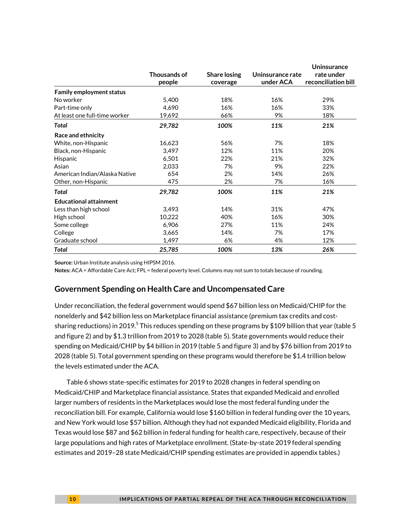|                                 |              |                     |                  | <b>Uninsurance</b>  |
|---------------------------------|--------------|---------------------|------------------|---------------------|
|                                 | Thousands of | <b>Share losing</b> | Uninsurance rate | rate under          |
|                                 | people       | coverage            | under ACA        | reconciliation bill |
| <b>Family employment status</b> |              |                     |                  |                     |
| No worker                       | 5,400        | 18%                 | 16%              | 29%                 |
| Part-time only                  | 4,690        | 16%                 | 16%              | 33%                 |
| At least one full-time worker   | 19,692       | 66%                 | 9%               | 18%                 |
| Total                           | 29,782       | 100%                | 11%              | 21%                 |
| Race and ethnicity              |              |                     |                  |                     |
| White, non-Hispanic             | 16,623       | 56%                 | 7%               | 18%                 |
| Black, non-Hispanic             | 3,497        | 12%                 | 11%              | 20%                 |
| Hispanic                        | 6,501        | 22%                 | 21%              | 32%                 |
| Asian                           | 2,033        | 7%                  | 9%               | 22%                 |
| American Indian/Alaska Native   | 654          | 2%                  | 14%              | 26%                 |
| Other, non-Hispanic             | 475          | 2%                  | 7%               | 16%                 |
| Total                           | 29,782       | 100%                | 11%              | 21%                 |
| <b>Educational attainment</b>   |              |                     |                  |                     |
| Less than high school           | 3,493        | 14%                 | 31%              | 47%                 |
| High school                     | 10,222       | 40%                 | 16%              | 30%                 |
| Some college                    | 6,906        | 27%                 | 11%              | 24%                 |
| College                         | 3,665        | 14%                 | 7%               | 17%                 |
| Graduate school                 | 1,497        | 6%                  | 4%               | 12%                 |
| Total                           | 25,785       | 100%                | 13%              | 26%                 |

**Notes:** ACA = Affordable Care Act; FPL = federal poverty level. Columns may not sum to totals because of rounding.

#### **Government Spending on Health Care and Uncompensated Care**

Under reconciliation, the federal government would spend \$67 billion less on Medicaid/CHIP for the nonelderly and \$42 billion less on Marketplace financial assistance (premium tax credits and cost-sharing reductions) in 201[9.](#page-29-4) $^5$  This reduces spending on these programs by \$109 billion that year (table 5  $\,$ and figure 2) and by \$1.3 trillion from 2019 to 2028 (table 5). State governments would reduce their spending on Medicaid/CHIP by \$4 billion in 2019 (table 5 and figure 3) and by \$76 billion from 2019 to 2028 (table 5). Total government spending on these programs would therefore be \$1.4 trillion below the levels estimated under the ACA.

Table 6 shows state-specific estimates for 2019 to 2028 changes in federal spending on Medicaid/CHIP and Marketplace financial assistance. States that expanded Medicaid and enrolled larger numbers of residents in the Marketplaces would lose the most federal funding under the reconciliation bill. For example, California would lose \$160 billion in federal funding over the 10 years, and New York would lose \$57 billion. Although they had not expanded Medicaid eligibility, Florida and Texas would lose \$87 and \$62 billion in federal funding for health care, respectively, because of their large populations and high rates of Marketplace enrollment. (State-by-state 2019 federal spending estimates and 2019–28 state Medicaid/CHIP spending estimates are provided in appendix tables.)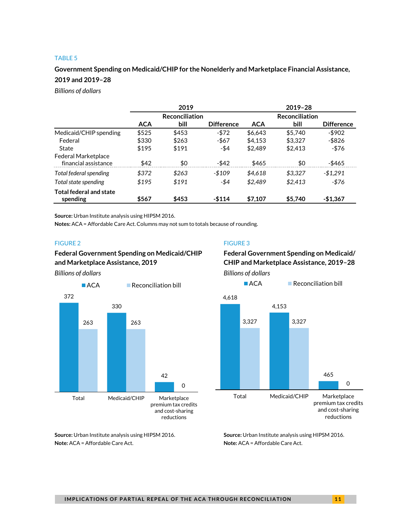#### TABLE 5

#### **Government Spending on Medicaid/CHIP for the Nonelderly and Marketplace Financial Assistance, 2019 and 2019–28**

*Billions of dollars*

|                                                    | 2019       |                       |                   | 2019-28    |                       |                   |  |  |
|----------------------------------------------------|------------|-----------------------|-------------------|------------|-----------------------|-------------------|--|--|
|                                                    |            | <b>Reconciliation</b> |                   |            | <b>Reconciliation</b> |                   |  |  |
|                                                    | <b>ACA</b> | bill                  | <b>Difference</b> | <b>ACA</b> | bill                  | <b>Difference</b> |  |  |
| Medicaid/CHIP spending                             | \$525      | \$453                 | $-572$            | \$6,643    | \$5,740               | $-$ \$902         |  |  |
| Federal                                            | \$330      | \$263                 | -\$67             | \$4.153    | \$3.327               | -\$826            |  |  |
| State                                              | \$195      | \$191                 | -\$4              | \$2,489    | \$2,413               | -\$76             |  |  |
| <b>Federal Marketplace</b><br>financial assistance | \$42       | \$0                   | $-$ \$42          | \$465      | \$0                   | -\$465            |  |  |
| Total federal spending                             | \$372      | \$263                 | $-5109$           | \$4.618    | \$3,327               | $-$1,291$         |  |  |
| Total state spending                               | \$195      | \$191                 | -\$4              | \$2.489    | \$2,413               | -\$76             |  |  |
| <b>Total federal and state</b><br>spending         | \$567      | \$453                 | $-$114$           | \$7.107    | \$5,740               | $-$1,367$         |  |  |

**Source:** Urban Institute analysis using HIPSM 2016.

**Notes:** ACA = Affordable Care Act. Columns may not sum to totals because of rounding.

#### **Federal Government Spending on Medicaid/CHIP Federal Government Spending on Medicaid/ and Marketplace Assistance, 2019 CHIP and Marketplace Assistance, 2019–28**



**Note:** ACA = Affordable Care Act. **Note:** ACA = Affordable Care Act.

#### FIGURE 2 FIGURE 3

*Billions of dollars Billions of dollars*



**Source:** Urban Institute analysis using HIPSM 2016. **Source:** Urban Institute analysis using HIPSM 2016.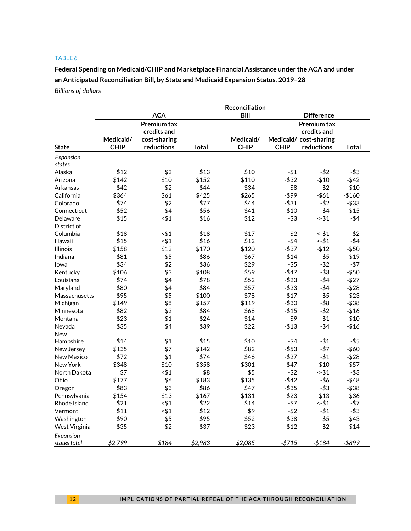#### TABLE 6

**Federal Spending on Medicaid/CHIP and Marketplace Financial Assistance under the ACA and under an Anticipated Reconciliation Bill, by State and Medicaid Expansion Status, 2019–28** *Billions of dollars*

|                   | Reconciliation |                    |         |             |             |                       |          |  |  |  |
|-------------------|----------------|--------------------|---------|-------------|-------------|-----------------------|----------|--|--|--|
|                   |                | <b>ACA</b>         |         | Bill        |             | <b>Difference</b>     |          |  |  |  |
|                   |                | <b>Premium tax</b> |         |             |             | <b>Premium tax</b>    |          |  |  |  |
|                   |                | credits and        |         |             |             | credits and           |          |  |  |  |
|                   | Medicaid/      | cost-sharing       |         | Medicaid/   |             | Medicaid/cost-sharing |          |  |  |  |
| <b>State</b>      | <b>CHIP</b>    | reductions         | Total   | <b>CHIP</b> | <b>CHIP</b> | reductions            | Total    |  |  |  |
| Expansion         |                |                    |         |             |             |                       |          |  |  |  |
| states            |                |                    |         |             |             |                       |          |  |  |  |
| Alaska            | \$12           | \$2                | \$13    | \$10        | $- $1$      | $-$ \$2               | $-$ \$3  |  |  |  |
| Arizona           | \$142          | \$10               | \$152   | \$110       | $-$ \$32    | $- $10$               | $-$ \$42 |  |  |  |
| Arkansas          | \$42           | \$2                | \$44    | \$34        | $-$ \$8     | $-$ \$2               | $- $10$  |  |  |  |
| California        | \$364          | \$61               | \$425   | \$265       | $-$ \$99    | $- $61$               | $-$160$  |  |  |  |
| Colorado          | \$74           | \$2                | \$77    | \$44        | -\$31       | -\$2                  | $-$ \$33 |  |  |  |
| Connecticut       | \$52           | \$4                | \$56    | \$41        | $-$10$      | $-$ \$4               | $- $15$  |  |  |  |
| Delaware          | \$15           | $<$ \$1            | \$16    | \$12        | $-$ \$3     | $-$ \$1               | $-$ \$4  |  |  |  |
| District of       |                |                    |         |             |             |                       |          |  |  |  |
| Columbia          | \$18           | < \$1              | \$18    | \$17        | $-$ \$2     | $-$ \$1               | $-52$    |  |  |  |
| Hawaii            | \$15           | $<$ \$1            | \$16    | \$12        | $-$ \$4     | $-$ \$1               | $-$ \$4  |  |  |  |
| <b>Illinois</b>   | \$158          | \$12               | \$170   | \$120       | -\$37       | $- $12$               | $-$ \$50 |  |  |  |
| Indiana           | \$81           | \$5                | \$86    | \$67        | $-$14$      | $- $5$                | $- $19$  |  |  |  |
| Iowa              | \$34           | \$2                | \$36    | \$29        | $- $5$      | $-$ \$2               | $- $7$   |  |  |  |
| Kentucky          | \$106          | \$3                | \$108   | \$59        | $-$ \$47    | $- $3$                | $- $50$  |  |  |  |
| Louisiana         | \$74           | \$4                | \$78    | \$52        | $- $23$     | $-$ \$4               | $- $27$  |  |  |  |
| Maryland          | \$80           | \$4                | \$84    | \$57        | $-$23$      | $-$ \$4               | $- $28$  |  |  |  |
| Massachusetts     | \$95           | \$5                | \$100   | \$78        | $- $17$     | $- $5$                | $-$ \$23 |  |  |  |
| Michigan          | \$149          | \$8                | \$157   | \$119       | $- $30$     | $-$ \$8               | $- $38$  |  |  |  |
| Minnesota         | \$82           | \$2                | \$84    | \$68        | $-$15$      | $-52$                 | $-$16$   |  |  |  |
| Montana           | \$23           | \$1                | \$24    | \$14        | $-59$       | $- $1$                | $- $10$  |  |  |  |
| Nevada            | \$35           | \$4                | \$39    | \$22        | -\$13       | -\$4                  | $-$16$   |  |  |  |
| New               |                |                    |         |             |             |                       |          |  |  |  |
| Hampshire         | \$14           | \$1                | \$15    | \$10        | $-$ \$4     | -\$1                  | $-$ \$5  |  |  |  |
| New Jersey        | \$135          | \$7                | \$142   | \$82        | $-$ \$53    | $- $7$                | $-$ \$60 |  |  |  |
| <b>New Mexico</b> | \$72           | \$1                | \$74    | \$46        | $-$27$      | $-51$                 | $- $28$  |  |  |  |
| New York          | \$348          | \$10               | \$358   | \$301       | $-$ \$47    | $- $10$               | $-$ \$57 |  |  |  |
| North Dakota      | \$7            | < 11               | \$8     | \$5         | $-52$       | $-$ \$1               | $-$ \$3  |  |  |  |
| Ohio              | \$177          | \$6                | \$183   | \$135       | $-$ \$42    | $-$ \$6               | $-$ \$48 |  |  |  |
| Oregon            | \$83           | \$3                | \$86    | \$47        | $-$ \$35    | $-$ \$3               | $- $38$  |  |  |  |
| Pennsylvania      | \$154          | \$13               | \$167   | \$131       | $- $23$     | $- $13$               | $- $36$  |  |  |  |
| Rhode Island      | \$21           | -\$1               | \$22    | \$14        | $- $7$      | $-51$                 | $-57$    |  |  |  |
| Vermont           | \$11           | < 11               | \$12    | \$9         | $-$ \$2     | $- $1$                | $-$ \$3  |  |  |  |
| Washington        | \$90           | \$5                | \$95    | \$52        | $- $38$     | $-$ \$5               | $- $43$  |  |  |  |
| West Virginia     | \$35           | \$2                | \$37    | \$23        | $- $12$     | $-$ \$2               | $-$14$   |  |  |  |
| Expansion         |                |                    |         |             |             |                       |          |  |  |  |
| states total      | \$2,799        | \$184              | \$2,983 | \$2,085     | $-$715$     | $- $184$              | -\$899   |  |  |  |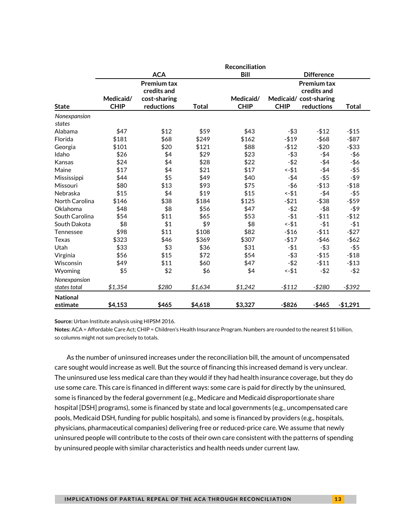|                             | Reconciliation           |                                                                 |              |                          |             |                                                            |              |  |  |  |
|-----------------------------|--------------------------|-----------------------------------------------------------------|--------------|--------------------------|-------------|------------------------------------------------------------|--------------|--|--|--|
|                             |                          | <b>ACA</b>                                                      |              | <b>Bill</b>              |             | <b>Difference</b>                                          |              |  |  |  |
|                             | Medicaid/<br><b>CHIP</b> | <b>Premium tax</b><br>credits and<br>cost-sharing<br>reductions |              | Medicaid/<br><b>CHIP</b> | <b>CHIP</b> | <b>Premium tax</b><br>credits and<br>Medicaid/cost-sharing |              |  |  |  |
| <b>State</b>                |                          |                                                                 | <b>Total</b> |                          |             | reductions                                                 | <b>Total</b> |  |  |  |
| Nonexpansion<br>states      |                          |                                                                 |              |                          |             |                                                            |              |  |  |  |
| Alabama                     | \$47                     | \$12                                                            | \$59         | \$43                     | $-$ \$3     | $- $12$                                                    | $- $15$      |  |  |  |
| Florida                     | \$181                    | \$68                                                            | \$249        | \$162                    | $- $19$     | $-$ \$68                                                   | $-$ \$87     |  |  |  |
| Georgia                     | \$101                    | \$20                                                            | \$121        | \$88                     | $- $12$     | $- $20$                                                    | $- $33$      |  |  |  |
| Idaho                       | \$26                     | \$4                                                             | \$29         | \$23                     | $- $3$      | $-$ \$4                                                    | $-$ \$6      |  |  |  |
| Kansas                      | \$24                     | \$4                                                             | \$28         | \$22                     | $-$ \$2     | $-$ \$4                                                    | -\$6         |  |  |  |
| Maine                       | \$17                     | \$4                                                             | \$21         | \$17                     | $-$ \$1     | -\$4                                                       | $-$ \$5      |  |  |  |
| Mississippi                 | \$44                     | \$5                                                             | \$49         | \$40                     | $-$ \$4     | $-$ \$5                                                    | $-$ \$9      |  |  |  |
| Missouri                    | \$80                     | \$13                                                            | \$93         | \$75                     | $-$ \$6     | $- $13$                                                    | $- $18$      |  |  |  |
| Nebraska                    | \$15                     | \$4                                                             | \$19         | \$15                     | $-$ \$1     | $-$ \$4                                                    | $-$ \$5      |  |  |  |
| North Carolina              | \$146                    | \$38                                                            | \$184        | \$125                    | $-521$      | $- $38$                                                    | $-$ \$59     |  |  |  |
| Oklahoma                    | \$48                     | \$8                                                             | \$56         | \$47                     | $-$ \$2     | $-$ \$8                                                    | -\$9         |  |  |  |
| South Carolina              | \$54                     | \$11                                                            | \$65         | \$53                     | $- $1$      | $-$11$                                                     | $-$12$       |  |  |  |
| South Dakota                | \$8                      | \$1                                                             | \$9          | \$8                      | $-$ \$1     | $- $1$                                                     | $- $1$       |  |  |  |
| Tennessee                   | \$98                     | \$11                                                            | \$108        | \$82                     | $-$16$      | $-$11$                                                     | $-$27$       |  |  |  |
| <b>Texas</b>                | \$323                    | \$46                                                            | \$369        | \$307                    | $- $17$     | $-$46$                                                     | $-$ \$62     |  |  |  |
| Utah                        | \$33                     | \$3                                                             | \$36         | \$31                     | $- $1$      | $-$ \$3                                                    | $-$ \$5      |  |  |  |
| Virginia                    | \$56                     | \$15                                                            | \$72         | \$54                     | $- $3$      | $- $15$                                                    | $- $18$      |  |  |  |
| Wisconsin                   | \$49                     | \$11                                                            | \$60         | \$47                     | $-$ \$2     | $- $11$                                                    | $- $13$      |  |  |  |
| Wyoming                     | \$5                      | \$2                                                             | \$6          | \$4                      | $-$ \$1     | $-$ \$2                                                    | $-52$        |  |  |  |
| Nonexpansion                |                          | \$280                                                           |              |                          |             | $-$280$                                                    |              |  |  |  |
| states total                | \$1,354                  |                                                                 | \$1,634      | \$1,242                  | $-$112$     |                                                            | $- $392$     |  |  |  |
| <b>National</b><br>estimate | \$4,153                  | \$465                                                           | \$4,618      | \$3,327                  | $-$ \$826   | $-$465$                                                    | $-$1,291$    |  |  |  |

**Notes:** ACA = Affordable Care Act; CHIP = Children's Health Insurance Program. Numbers are rounded to the nearest \$1 billion, so columns might not sum precisely to totals.

As the number of uninsured increases under the reconciliation bill, the amount of uncompensated care sought would increase as well. But the source of financing this increased demand is very unclear. The uninsured use less medical care than they would if they had health insurance coverage, but they do use some care. This care is financed in different ways: some care is paid for directly by the uninsured, some is financed by the federal government (e.g., Medicare and Medicaid disproportionate share hospital [DSH] programs), some is financed by state and local governments (e.g., uncompensated care pools, Medicaid DSH, funding for public hospitals), and some is financed by providers (e.g., hospitals, physicians, pharmaceutical companies) delivering free or reduced-price care. We assume that newly uninsured people will contribute to the costs of their own care consistent with the patterns of spending by uninsured people with similar characteristics and health needs under current law.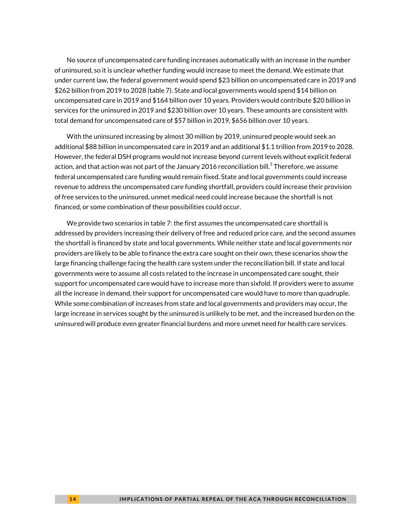No source of uncompensated care funding increases automatically with an increase in the number of uninsured, so it is unclear whether funding would increase to meet the demand. We estimate that under current law, the federal government would spend \$23 billion on uncompensated care in 2019 and \$262 billion from 2019 to 2028 (table 7). State and local governments would spend \$14 billion on uncompensated care in 2019 and \$164 billion over 10 years. Providers would contribute \$20 billion in services for the uninsured in 2019 and \$230 billion over 10 years. These amounts are consistent with total demand for uncompensated care of \$57 billion in 2019, \$656 billion over 10 years.

With the uninsured increasing by almost 30 million by 2019, uninsured people would seek an additional \$88 billion in uncompensated care in 2019 and an additional \$1.1 trillion from 2019 to 2028. However, the federal DSH programs would not increase beyond current levels without explicit federal action, and that action was not part of the January 2016 reconciliation bill. $^5$  $^5$  Therefore, we assume federal uncompensated care funding would remain fixed. State and local governments could increase revenue to address the uncompensated care funding shortfall, providers could increase their provision of free services to the uninsured, unmet medical need could increase because the shortfall is not financed, or some combination of these possibilities could occur.

We provide two scenarios in table 7: the first assumes the uncompensated care shortfall is addressed by providers increasing their delivery of free and reduced price care, and the second assumes the shortfall is financed by state and local governments. While neither state and local governments nor providers are likely to be able to finance the extra care sought on their own, these scenarios show the large financing challenge facing the health care system under the reconciliation bill. If state and local governments were to assume all costs related to the increase in uncompensated care sought, their support for uncompensated care would have to increase more than sixfold. If providers were to assume all the increase in demand, their support for uncompensated care would have to more than quadruple. While some combination of increases from state and local governments and providers may occur, the large increase in services sought by the uninsured is unlikely to be met, and the increased burden on the uninsured will produce even greater financial burdens and more unmet need for health care services.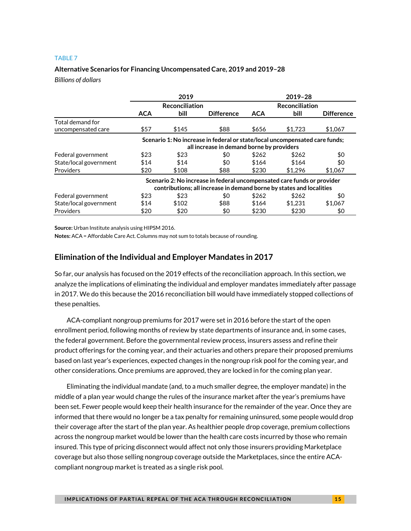#### TABLE 7

#### **Alternative Scenarios for Financing Uncompensated Care, 2019 and 2019–28**

*Billions of dollars*

|                                                                             | 2019       |                |                                                                         | 2019-28    |                       |                   |  |
|-----------------------------------------------------------------------------|------------|----------------|-------------------------------------------------------------------------|------------|-----------------------|-------------------|--|
|                                                                             |            | Reconciliation |                                                                         |            | <b>Reconciliation</b> |                   |  |
|                                                                             | <b>ACA</b> | bill           | <b>Difference</b>                                                       | <b>ACA</b> | bill                  | <b>Difference</b> |  |
| Total demand for                                                            |            |                |                                                                         |            |                       |                   |  |
| uncompensated care                                                          | \$57       | \$145          | \$88                                                                    | \$656      | \$1,723               | \$1,067           |  |
| Scenario 1: No increase in federal or state/local uncompensated care funds; |            |                |                                                                         |            |                       |                   |  |
|                                                                             |            |                | all increase in demand borne by providers                               |            |                       |                   |  |
| Federal government                                                          | \$23       | \$23           | \$0                                                                     | \$262      | \$262                 | \$0               |  |
| State/local government                                                      | \$14       | \$14           | \$0                                                                     | \$164      | \$164                 | \$0               |  |
| Providers                                                                   | \$20       | \$108          | \$88                                                                    | \$230      | \$1.296               | \$1,067           |  |
|                                                                             |            |                | Scenario 2: No increase in federal uncompensated care funds or provider |            |                       |                   |  |
|                                                                             |            |                | contributions; all increase in demand borne by states and localities    |            |                       |                   |  |
| Federal government                                                          | \$23       | \$23           | \$0                                                                     | \$262      | \$262                 | \$0               |  |
| State/local government                                                      | \$14       | \$102          | \$88                                                                    | \$164      | \$1,231               | \$1,067           |  |
| Providers                                                                   | \$20       | \$20           | \$0                                                                     | \$230      | \$230                 | \$0               |  |

**Source:** Urban Institute analysis using HIPSM 2016.

**Notes:** ACA = Affordable Care Act. Columns may not sum to totals because of rounding.

#### **Elimination of the Individual and Employer Mandates in 2017**

So far, our analysis has focused on the 2019 effects of the reconciliation approach. In this section, we analyze the implications of eliminating the individual and employer mandates immediately after passage in 2017. We do this because the 2016 reconciliation bill would have immediately stopped collections of these penalties.

ACA-compliant nongroup premiums for 2017 were set in 2016 before the start of the open enrollment period, following months of review by state departments of insurance and, in some cases, the federal government. Before the governmental review process, insurers assess and refine their product offerings for the coming year, and their actuaries and others prepare their proposed premiums based on last year's experiences, expected changes in the nongroup risk pool for the coming year, and other considerations. Once premiums are approved, they are locked in for the coming plan year.

Eliminating the individual mandate (and, to a much smaller degree, the employer mandate) in the middle of a plan year would change the rules of the insurance market after the year's premiums have been set. Fewer people would keep their health insurance for the remainder of the year. Once they are informed that there would no longer be a tax penalty for remaining uninsured, some people would drop their coverage after the start of the plan year. As healthier people drop coverage, premium collections across the nongroup market would be lower than the health care costs incurred by those who remain insured. This type of pricing disconnect would affect not only those insurers providing Marketplace coverage but also those selling nongroup coverage outside the Marketplaces, since the entire ACAcompliant nongroup market is treated as a single risk pool.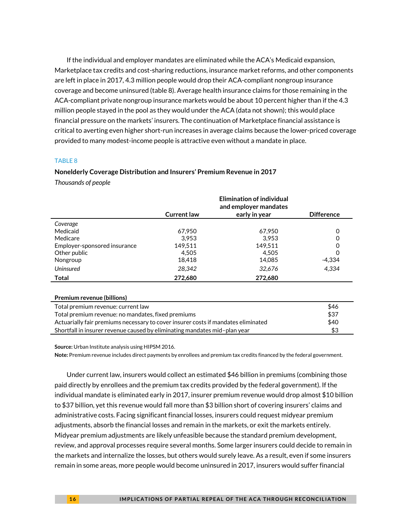If the individual and employer mandates are eliminated while the ACA's Medicaid expansion, Marketplace tax credits and cost-sharing reductions, insurance market reforms, and other components are left in place in 2017, 4.3 million people would drop their ACA-compliant nongroup insurance coverage and become uninsured (table 8). Average health insurance claims for those remaining in the ACA-compliant private nongroup insurance markets would be about 10 percent higher than if the 4.3 million people stayed in the pool as they would under the ACA (data not shown); this would place financial pressure on the markets' insurers. The continuation of Marketplace financial assistance is critical to averting even higher short-run increases in average claims because the lower-priced coverage provided to many modest-income people is attractive even without a mandate in place.

#### TABLE 8

#### **Nonelderly Coverage Distribution and Insurers' Premium Revenue in 2017**

*Thousands of people*

|                                                                                   |                    | <b>Elimination of individual</b><br>and employer mandates |                   |
|-----------------------------------------------------------------------------------|--------------------|-----------------------------------------------------------|-------------------|
|                                                                                   | <b>Current law</b> | early in year                                             | <b>Difference</b> |
| Coverage                                                                          |                    |                                                           |                   |
| Medicaid                                                                          | 67,950             | 67,950                                                    | 0                 |
| Medicare                                                                          | 3.953              | 3.953                                                     |                   |
| Employer-sponsored insurance                                                      | 149,511            | 149.511                                                   | O                 |
| Other public                                                                      | 4,505              | 4.505                                                     | O                 |
| Nongroup                                                                          | 18,418             | 14,085                                                    | $-4,334$          |
| <b>Uninsured</b>                                                                  | 28,342             | 32,676                                                    | 4,334             |
| <b>Total</b>                                                                      | 272,680            | 272,680                                                   |                   |
|                                                                                   |                    |                                                           |                   |
| Premium revenue (billions)                                                        |                    |                                                           |                   |
| Total premium revenue: current law                                                |                    |                                                           | \$46              |
| Total premium revenue: no mandates, fixed premiums                                | \$37               |                                                           |                   |
| Actuarially fair premiums necessary to cover insurer costs if mandates eliminated |                    |                                                           | \$40              |
| Shortfall in insurer revenue caused by eliminating mandates mid-plan year         |                    |                                                           | \$3               |

**Source:** Urban Institute analysis using HIPSM 2016.

**Note:** Premium revenue includes direct payments by enrollees and premium tax credits financed by the federal government.

Under current law, insurers would collect an estimated \$46 billion in premiums (combining those paid directly by enrollees and the premium tax credits provided by the federal government). If the individual mandate is eliminated early in 2017, insurer premium revenue would drop almost \$10 billion to \$37 billion, yet this revenue would fall more than \$3 billion short of covering insurers' claims and administrative costs. Facing significant financial losses, insurers could request midyear premium adjustments, absorb the financial losses and remain in the markets, or exit the markets entirely. Midyear premium adjustments are likely unfeasible because the standard premium development, review, and approval processes require several months. Some larger insurers could decide to remain in the markets and internalize the losses, but others would surely leave. As a result, even if some insurers remain in some areas, more people would become uninsured in 2017, insurers would suffer financial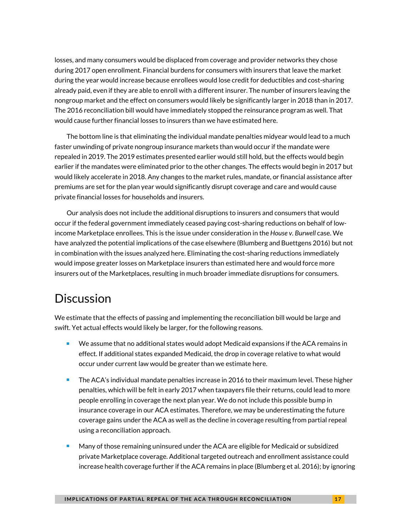losses, and many consumers would be displaced from coverage and provider networks they chose during 2017 open enrollment. Financial burdens for consumers with insurers that leave the market during the year would increase because enrollees would lose credit for deductibles and cost-sharing already paid, even if they are able to enroll with a different insurer. The number of insurers leaving the nongroup market and the effect on consumers would likely be significantly larger in 2018 than in 2017. The 2016 reconciliation bill would have immediately stopped the reinsurance program as well. That would cause further financial losses to insurers than we have estimated here.

The bottom line is that eliminating the individual mandate penalties midyear would lead to a much faster unwinding of private nongroup insurance markets than would occur if the mandate were repealed in 2019. The 2019 estimates presented earlier would still hold, but the effects would begin earlier if the mandates were eliminated prior to the other changes. The effects would begin in 2017 but would likely accelerate in 2018. Any changes to the market rules, mandate, or financial assistance after premiums are set for the plan year would significantly disrupt coverage and care and would cause private financial losses for households and insurers.

Our analysis does not include the additional disruptions to insurers and consumers that would occur if the federal government immediately ceased paying cost-sharing reductions on behalf of lowincome Marketplace enrollees. This is the issue under consideration in the *House v. Burwell* case. We have analyzed the potential implications of the case elsewhere (Blumberg and Buettgens 2016) but not in combination with the issues analyzed here. Eliminating the cost-sharing reductions immediately would impose greater losses on Marketplace insurers than estimated here and would force more insurers out of the Marketplaces, resulting in much broader immediate disruptions for consumers.

### **Discussion**

We estimate that the effects of passing and implementing the reconciliation bill would be large and swift. Yet actual effects would likely be larger, for the following reasons.

- We assume that no additional states would adopt Medicaid expansions if the ACA remains in effect. If additional states expanded Medicaid, the drop in coverage relative to what would occur under current law would be greater than we estimate here.
- **The ACA's individual mandate penalties increase in 2016 to their maximum level. These higher** penalties, which will be felt in early 2017 when taxpayers file their returns, could lead to more people enrolling in coverage the next plan year. We do not include this possible bump in insurance coverage in our ACA estimates. Therefore, we may be underestimating the future coverage gains under the ACA as well as the decline in coverage resulting from partial repeal using a reconciliation approach.
- Many of those remaining uninsured under the ACA are eligible for Medicaid or subsidized private Marketplace coverage. Additional targeted outreach and enrollment assistance could increase health coverage further if the ACA remains in place (Blumberg et al. 2016); by ignoring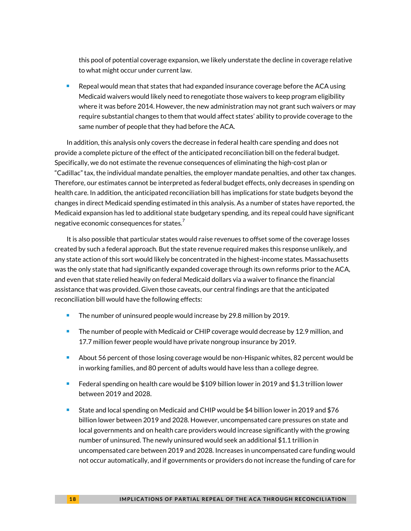this pool of potential coverage expansion, we likely understate the decline in coverage relative to what might occur under current law.

 Repeal would mean that states that had expanded insurance coverage before the ACA using Medicaid waivers would likely need to renegotiate those waivers to keep program eligibility where it was before 2014. However, the new administration may not grant such waivers or may require substantial changes to them that would affect states' ability to provide coverage to the same number of people that they had before the ACA.

In addition, this analysis only covers the decrease in federal health care spending and does not provide a complete picture of the effect of the anticipated reconciliation bill on the federal budget. Specifically, we do not estimate the revenue consequences of eliminating the high-cost plan or "Cadillac" tax, the individual mandate penalties, the employer mandate penalties, and other tax changes. Therefore, our estimates cannot be interpreted as federal budget effects, only decreases in spending on health care. In addition, the anticipated reconciliation bill has implications for state budgets beyond the changes in direct Medicaid spending estimated in this analysis. As a number of states have reported, the Medicaid expansion has led to additional state budgetary spending, and its repeal could have significant negative economic consequences for states.<sup>[7](#page-29-5)</sup>

It is also possible that particular states would raise revenues to offset some of the coverage losses created by such a federal approach. But the state revenue required makes this response unlikely, and any state action of this sort would likely be concentrated in the highest-income states. Massachusetts was the only state that had significantly expanded coverage through its own reforms prior to the ACA, and even that state relied heavily on federal Medicaid dollars via a waiver to finance the financial assistance that was provided. Given those caveats, our central findings are that the anticipated reconciliation bill would have the following effects:

- **The number of uninsured people would increase by 29.8 million by 2019.**
- The number of people with Medicaid or CHIP coverage would decrease by 12.9 million, and 17.7 million fewer people would have private nongroup insurance by 2019.
- **About 56 percent of those losing coverage would be non-Hispanic whites, 82 percent would be** in working families, and 80 percent of adults would have less than a college degree.
- Federal spending on health care would be \$109 billion lower in 2019 and \$1.3 trillion lower between 2019 and 2028.
- State and local spending on Medicaid and CHIP would be \$4 billion lower in 2019 and \$76 billion lower between 2019 and 2028. However, uncompensated care pressures on state and local governments and on health care providers would increase significantly with the growing number of uninsured. The newly uninsured would seek an additional \$1.1 trillion in uncompensated care between 2019 and 2028. Increases in uncompensated care funding would not occur automatically, and if governments or providers do not increase the funding of care for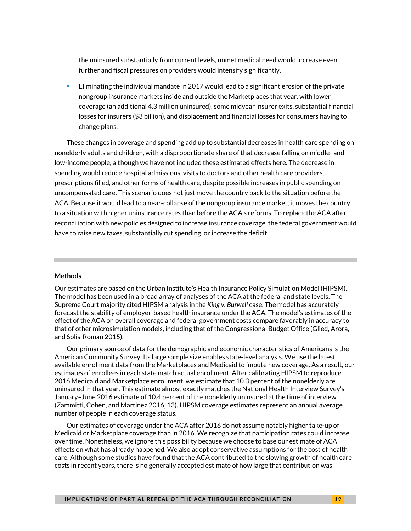the uninsured substantially from current levels, unmet medical need would increase even further and fiscal pressures on providers would intensify significantly.

 Eliminating the individual mandate in 2017 would lead to a significant erosion of the private nongroup insurance markets inside and outside the Marketplaces that year, with lower coverage (an additional 4.3 million uninsured), some midyear insurer exits, substantial financial losses for insurers (\$3 billion), and displacement and financial losses for consumers having to change plans.

These changes in coverage and spending add up to substantial decreases in health care spending on nonelderly adults and children, with a disproportionate share of that decrease falling on middle- and low-income people, although we have not included these estimated effects here. The decrease in spending would reduce hospital admissions, visits to doctors and other health care providers, prescriptions filled, and other forms of health care, despite possible increases in public spending on uncompensated care. This scenario does not just move the country back to the situation before the ACA. Because it would lead to a near-collapse of the nongroup insurance market, it moves the country to a situation with higher uninsurance rates than before the ACA's reforms. To replace the ACA after reconciliation with new policies designed to increase insurance coverage, the federal government would have to raise new taxes, substantially cut spending, or increase the deficit.

#### **Methods**

Our estimates are based on the Urban Institute's Health Insurance Policy Simulation Model (HIPSM). The model has been used in a broad array of analyses of the ACA at the federal and state levels. The Supreme Court majority cited HIPSM analysis in the *King v. Burwell* case. The model has accurately forecast the stability of employer-based health insurance under the ACA. The model's estimates of the effect of the ACA on overall coverage and federal government costs compare favorably in accuracy to that of other microsimulation models, including that of the Congressional Budget Office (Glied, Arora, and Solis-Roman 2015).

Our primary source of data for the demographic and economic characteristics of Americans is the American Community Survey. Its large sample size enables state-level analysis. We use the latest available enrollment data from the Marketplaces and Medicaid to impute new coverage. As a result, our estimates of enrollees in each state match actual enrollment. After calibrating HIPSM to reproduce 2016 Medicaid and Marketplace enrollment, we estimate that 10.3 percent of the nonelderly are uninsured in that year. This estimate almost exactly matches the National Health Interview Survey's January–June 2016 estimate of 10.4 percent of the nonelderly uninsured at the time of interview (Zammitti, Cohen, and Martinez 2016, 13). HIPSM coverage estimates represent an annual average number of people in each coverage status.

Our estimates of coverage under the ACA after 2016 do not assume notably higher take-up of Medicaid or Marketplace coverage than in 2016. We recognize that participation rates could increase over time. Nonetheless, we ignore this possibility because we choose to base our estimate of ACA effects on what has already happened. We also adopt conservative assumptions for the cost of health care. Although some studies have found that the ACA contributed to the slowing growth of health care costs in recent years, there is no generally accepted estimate of how large that contribution was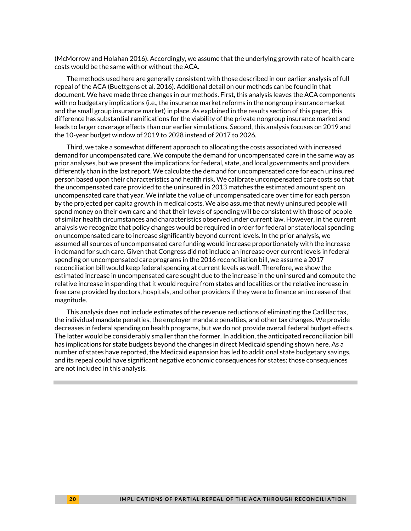(McMorrow and Holahan 2016). Accordingly, we assume that the underlying growth rate of health care costs would be the same with or without the ACA.

The methods used here are generally consistent with those described in our earlier analysis of full repeal of the ACA (Buettgens et al. 2016). Additional detail on our methods can be found in that document. We have made three changes in our methods. First, this analysis leaves the ACA components with no budgetary implications (i.e., the insurance market reforms in the nongroup insurance market and the small group insurance market) in place. As explained in the results section of this paper, this difference has substantial ramifications for the viability of the private nongroup insurance market and leads to larger coverage effects than our earlier simulations. Second, this analysis focuses on 2019 and the 10-year budget window of 2019 to 2028 instead of 2017 to 2026.

Third, we take a somewhat different approach to allocating the costs associated with increased demand for uncompensated care. We compute the demand for uncompensated care in the same way as prior analyses, but we present the implications for federal, state, and local governments and providers differently than in the last report. We calculate the demand for uncompensated care for each uninsured person based upon their characteristics and health risk. We calibrate uncompensated care costs so that the uncompensated care provided to the uninsured in 2013 matches the estimated amount spent on uncompensated care that year. We inflate the value of uncompensated care over time for each person by the projected per capita growth in medical costs. We also assume that newly uninsured people will spend money on their own care and that their levels of spending will be consistent with those of people of similar health circumstances and characteristics observed under current law. However, in the current analysis we recognize that policy changes would be required in order for federal or state/local spending on uncompensated care to increase significantly beyond current levels. In the prior analysis, we assumed all sources of uncompensated care funding would increase proportionately with the increase in demand for such care. Given that Congress did not include an increase over current levels in federal spending on uncompensated care programs in the 2016 reconciliation bill, we assume a 2017 reconciliation bill would keep federal spending at current levels as well. Therefore, we show the estimated increase in uncompensated care sought due to the increase in the uninsured and compute the relative increase in spending that it would require from states and localities or the relative increase in free care provided by doctors, hospitals, and other providers if they were to finance an increase of that magnitude.

This analysis does not include estimates of the revenue reductions of eliminating the Cadillac tax, the individual mandate penalties, the employer mandate penalties, and other tax changes. We provide decreases in federal spending on health programs, but we do not provide overall federal budget effects. The latter would be considerably smaller than the former. In addition, the anticipated reconciliation bill has implications for state budgets beyond the changes in direct Medicaid spending shown here. As a number of states have reported, the Medicaid expansion has led to additional state budgetary savings, and its repeal could have significant negative economic consequences for states; those consequences are not included in this analysis.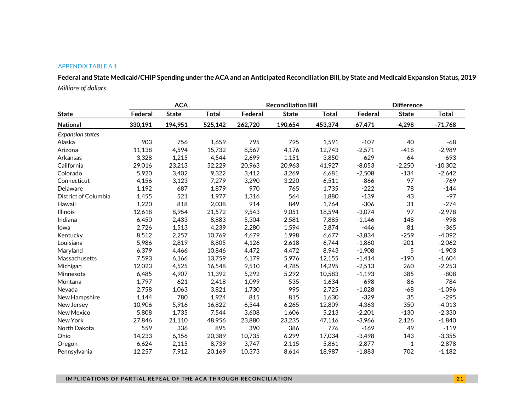#### APPENDIX TABLE A.1

**Federal and State Medicaid/CHIP Spending under the ACA and an Anticipated Reconciliation Bill, by State and Medicaid Expansion Status, 2019** *Millions of dollars*

|                         | <b>ACA</b> |              |              |         | <b>Reconciliation Bill</b> |              |           | <b>Difference</b> |              |  |
|-------------------------|------------|--------------|--------------|---------|----------------------------|--------------|-----------|-------------------|--------------|--|
| <b>State</b>            | Federal    | <b>State</b> | <b>Total</b> | Federal | <b>State</b>               | <b>Total</b> | Federal   | <b>State</b>      | <b>Total</b> |  |
| National                | 330,191    | 194,951      | 525,142      | 262,720 | 190,654                    | 453,374      | $-67,471$ | $-4,298$          | $-71,768$    |  |
| <b>Expansion states</b> |            |              |              |         |                            |              |           |                   |              |  |
| Alaska                  | 903        | 756          | 1.659        | 795     | 795                        | 1,591        | $-107$    | 40                | $-68$        |  |
| Arizona                 | 11,138     | 4,594        | 15,732       | 8,567   | 4,176                      | 12,743       | $-2,571$  | $-418$            | $-2,989$     |  |
| Arkansas                | 3,328      | 1,215        | 4,544        | 2,699   | 1,151                      | 3,850        | $-629$    | $-64$             | $-693$       |  |
| California              | 29,016     | 23,213       | 52,229       | 20,963  | 20,963                     | 41,927       | $-8,053$  | $-2,250$          | $-10,302$    |  |
| Colorado                | 5,920      | 3,402        | 9,322        | 3,412   | 3,269                      | 6,681        | $-2,508$  | $-134$            | $-2,642$     |  |
| Connecticut             | 4,156      | 3,123        | 7,279        | 3,290   | 3,220                      | 6,511        | $-866$    | 97                | $-769$       |  |
| Delaware                | 1,192      | 687          | 1,879        | 970     | 765                        | 1,735        | $-222$    | 78                | $-144$       |  |
| District of Columbia    | 1,455      | 521          | 1,977        | 1,316   | 564                        | 1,880        | $-139$    | 43                | $-97$        |  |
| Hawaii                  | 1,220      | 818          | 2,038        | 914     | 849                        | 1,764        | $-306$    | 31                | $-274$       |  |
| <b>Illinois</b>         | 12,618     | 8,954        | 21,572       | 9,543   | 9,051                      | 18,594       | $-3,074$  | 97                | $-2,978$     |  |
| Indiana                 | 6,450      | 2,433        | 8,883        | 5,304   | 2,581                      | 7,885        | $-1,146$  | 148               | $-998$       |  |
| Iowa                    | 2,726      | 1,513        | 4,239        | 2,280   | 1,594                      | 3,874        | $-446$    | 81                | $-365$       |  |
| Kentucky                | 8,512      | 2,257        | 10,769       | 4,679   | 1,998                      | 6,677        | $-3,834$  | $-259$            | $-4,092$     |  |
| Louisiana               | 5,986      | 2,819        | 8,805        | 4,126   | 2,618                      | 6,744        | $-1,860$  | $-201$            | $-2,062$     |  |
| Maryland                | 6,379      | 4,466        | 10,846       | 4,472   | 4,472                      | 8,943        | $-1,908$  | 5                 | $-1,903$     |  |
| Massachusetts           | 7,593      | 6,166        | 13,759       | 6,179   | 5,976                      | 12,155       | $-1,414$  | $-190$            | $-1,604$     |  |
| Michigan                | 12,023     | 4,525        | 16,548       | 9,510   | 4,785                      | 14,295       | $-2,513$  | 260               | $-2,253$     |  |
| Minnesota               | 6,485      | 4,907        | 11,392       | 5,292   | 5,292                      | 10,583       | $-1,193$  | 385               | $-808$       |  |
| Montana                 | 1,797      | 621          | 2,418        | 1,099   | 535                        | 1,634        | $-698$    | $-86$             | $-784$       |  |
| Nevada                  | 2,758      | 1,063        | 3,821        | 1,730   | 995                        | 2,725        | $-1,028$  | $-68$             | $-1,096$     |  |
| New Hampshire           | 1.144      | 780          | 1,924        | 815     | 815                        | 1,630        | $-329$    | 35                | $-295$       |  |
| New Jersey              | 10,906     | 5,916        | 16,822       | 6,544   | 6,265                      | 12,809       | $-4,363$  | 350               | $-4,013$     |  |
| New Mexico              | 5,808      | 1,735        | 7,544        | 3,608   | 1,606                      | 5,213        | $-2,201$  | $-130$            | $-2,330$     |  |
| New York                | 27,846     | 21,110       | 48,956       | 23,880  | 23,235                     | 47,116       | $-3,966$  | 2,126             | $-1,840$     |  |
| North Dakota            | 559        | 336          | 895          | 390     | 386                        | 776          | $-169$    | 49                | $-119$       |  |
| Ohio                    | 14,233     | 6,156        | 20,389       | 10,735  | 6,299                      | 17,034       | $-3,498$  | 143               | $-3,355$     |  |
| Oregon                  | 6,624      | 2,115        | 8,739        | 3,747   | 2,115                      | 5,861        | $-2,877$  | $-1$              | $-2,878$     |  |
| Pennsylvania            | 12,257     | 7,912        | 20,169       | 10,373  | 8,614                      | 18,987       | $-1,883$  | 702               | $-1,182$     |  |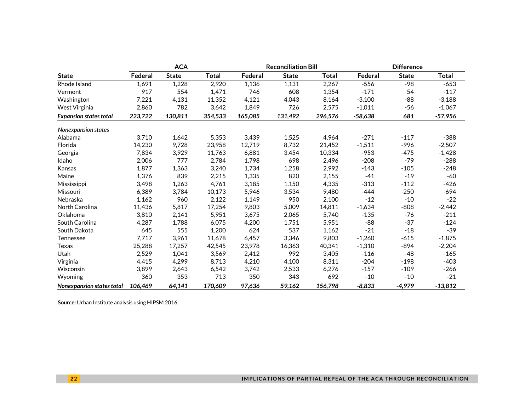|                               | <b>ACA</b> |              |         |         | <b>Reconciliation Bill</b> |         |           | <b>Difference</b> |              |  |
|-------------------------------|------------|--------------|---------|---------|----------------------------|---------|-----------|-------------------|--------------|--|
| <b>State</b>                  | Federal    | <b>State</b> | Total   | Federal | <b>State</b>               | Total   | Federal   | <b>State</b>      | <b>Total</b> |  |
| Rhode Island                  | 1,691      | 1,228        | 2,920   | 1,136   | 1,131                      | 2,267   | $-556$    | -98               | $-653$       |  |
| Vermont                       | 917        | 554          | 1,471   | 746     | 608                        | 1,354   | $-171$    | 54                | $-117$       |  |
| Washington                    | 7,221      | 4,131        | 11,352  | 4,121   | 4,043                      | 8,164   | $-3,100$  | $-88$             | $-3,188$     |  |
| <b>West Virginia</b>          | 2,860      | 782          | 3,642   | 1,849   | 726                        | 2,575   | $-1,011$  | $-56$             | $-1,067$     |  |
| <b>Expansion states total</b> | 223,722    | 130,811      | 354,533 | 165,085 | 131.492                    | 296,576 | $-58,638$ | 681               | $-57,956$    |  |
| Nonexpansion states           |            |              |         |         |                            |         |           |                   |              |  |
| Alabama                       | 3.710      | 1,642        | 5,353   | 3,439   | 1,525                      | 4,964   | $-271$    | $-117$            | $-388$       |  |
| Florida                       | 14,230     | 9,728        | 23,958  | 12,719  | 8,732                      | 21,452  | $-1,511$  | $-996$            | $-2,507$     |  |
| Georgia                       | 7,834      | 3,929        | 11,763  | 6,881   | 3,454                      | 10,334  | $-953$    | $-475$            | $-1,428$     |  |
| Idaho                         | 2,006      | 777          | 2,784   | 1,798   | 698                        | 2,496   | $-208$    | $-79$             | $-288$       |  |
| Kansas                        | 1,877      | 1,363        | 3,240   | 1,734   | 1,258                      | 2,992   | $-143$    | $-105$            | $-248$       |  |
| Maine                         | 1,376      | 839          | 2,215   | 1,335   | 820                        | 2,155   | $-41$     | $-19$             | $-60$        |  |
| Mississippi                   | 3,498      | 1,263        | 4,761   | 3,185   | 1,150                      | 4,335   | $-313$    | $-112$            | $-426$       |  |
| Missouri                      | 6,389      | 3,784        | 10,173  | 5,946   | 3,534                      | 9,480   | -444      | $-250$            | $-694$       |  |
| Nebraska                      | 1,162      | 960          | 2,122   | 1,149   | 950                        | 2,100   | $-12$     | $-10$             | $-22$        |  |
| North Carolina                | 11,436     | 5,817        | 17,254  | 9,803   | 5,009                      | 14,811  | $-1,634$  | $-808$            | $-2,442$     |  |
| Oklahoma                      | 3,810      | 2,141        | 5,951   | 3,675   | 2,065                      | 5,740   | $-135$    | -76               | $-211$       |  |
| South Carolina                | 4,287      | 1,788        | 6,075   | 4,200   | 1,751                      | 5,951   | $-88$     | $-37$             | $-124$       |  |
| South Dakota                  | 645        | 555          | 1,200   | 624     | 537                        | 1,162   | $-21$     | $-18$             | $-39$        |  |
| Tennessee                     | 7,717      | 3,961        | 11,678  | 6,457   | 3,346                      | 9,803   | $-1,260$  | $-615$            | $-1,875$     |  |
| Texas                         | 25,288     | 17,257       | 42,545  | 23,978  | 16,363                     | 40,341  | $-1,310$  | $-894$            | $-2,204$     |  |
| Utah                          | 2,529      | 1,041        | 3,569   | 2,412   | 992                        | 3,405   | $-116$    | $-48$             | $-165$       |  |
| Virginia                      | 4.415      | 4,299        | 8.713   | 4.210   | 4.100                      | 8.311   | $-204$    | $-198$            | $-403$       |  |
| Wisconsin                     | 3,899      | 2,643        | 6,542   | 3,742   | 2,533                      | 6,276   | $-157$    | $-109$            | $-266$       |  |
| Wyoming                       | 360        | 353          | 713     | 350     | 343                        | 692     | $-10$     | $-10$             | $-21$        |  |
| Nonexpansion states total     | 106,469    | 64,141       | 170,609 | 97,636  | 59,162                     | 156,798 | $-8,833$  | $-4,979$          | $-13,812$    |  |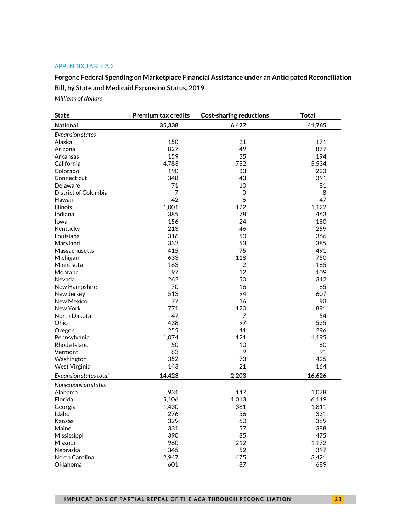#### APPENDIX TABLE A.2

**Forgone Federal Spending on Marketplace Financial Assistance under an Anticipated Reconciliation Bill, by State and Medicaid Expansion Status, 2019**

*Millions of dollars*

| <b>State</b>                  | <b>Premium tax credits</b> | <b>Cost-sharing reductions</b> | <b>Total</b> |
|-------------------------------|----------------------------|--------------------------------|--------------|
| <b>National</b>               | 35,338                     | 6,427                          | 41,765       |
| <b>Expansion states</b>       |                            |                                |              |
| Alaska                        | 150                        | 21                             | 171          |
| Arizona                       | 827                        | 49                             | 877          |
| Arkansas                      | 159                        | 35                             | 194          |
| California                    | 4,783                      | 752                            | 5,534        |
| Colorado                      | 190                        | 33                             | 223          |
| Connecticut                   | 348                        | 43                             | 391          |
| Delaware                      | 71                         | 10                             | 81           |
| District of Columbia          | $\overline{7}$             | $\mathbf 0$                    | 8            |
| Hawaii                        | 42                         | 6                              | 47           |
| <b>Illinois</b>               | 1,001                      | 122                            | 1,122        |
| Indiana                       | 385                        | 78                             | 463          |
| Iowa                          | 156                        | 24                             | 180          |
| Kentucky                      | 213                        | 46                             | 259          |
| Louisiana                     | 316                        | 50                             | 366          |
| Maryland                      | 332                        | 53                             | 385          |
| Massachusetts                 | 415                        | 75                             | 491          |
| Michigan                      | 633                        | 118                            | 750          |
| Minnesota                     | 163                        | 2                              | 165          |
| Montana                       | 97                         | 12                             | 109          |
| Nevada                        | 262                        | 50                             | 312          |
| New Hampshire                 | 70                         | 16                             | 85           |
|                               | 513                        | 94                             | 607          |
| New Jersey<br>New Mexico      | 77                         | 16                             | 93           |
| New York                      | 771                        | 120                            | 891          |
|                               | 47                         |                                |              |
| North Dakota                  |                            | 7<br>97                        | 54<br>535    |
| Ohio                          | 438                        |                                |              |
| Oregon                        | 255                        | 41                             | 296          |
| Pennsylvania                  | 1,074                      | 121                            | 1,195        |
| Rhode Island                  | 50                         | 10                             | 60           |
| Vermont                       | 83                         | 9                              | 91           |
| Washington                    | 352                        | 73                             | 425          |
| West Virginia                 | 143                        | 21                             | 164          |
| <b>Expansion states total</b> | 14,423                     | 2,203                          | 16,626       |
| Nonexpansion states           |                            |                                |              |
| Alabama                       | 931                        | 147                            | 1,078        |
| Florida                       | 5,106                      | 1,013                          | 6,119        |
| Georgia                       | 1,430                      | 381                            | 1,811        |
| Idaho                         | 276                        | 56                             | 331          |
| Kansas                        | 329                        | 60                             | 389          |
| Maine                         | 331                        | 57                             | 388          |
| Mississippi                   | 390                        | 85                             | 475          |
| Missouri                      | 960                        | 212                            | 1,172        |
| Nebraska                      | 345                        | 52                             | 397          |
| North Carolina                | 2,947                      | 475                            | 3,421        |
| Oklahoma                      | 601                        | 87                             | 689          |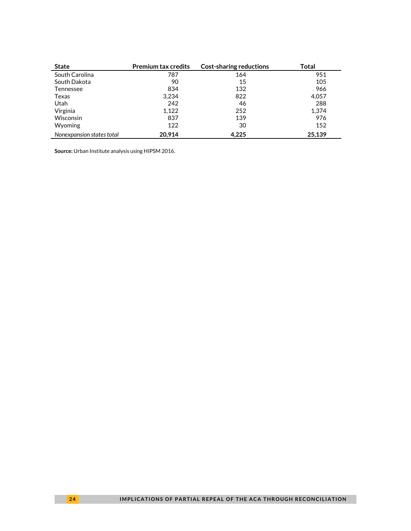| <b>State</b>              | <b>Premium tax credits</b> | <b>Cost-sharing reductions</b> | Total  |
|---------------------------|----------------------------|--------------------------------|--------|
| South Carolina            | 787                        | 164                            | 951    |
| South Dakota              | 90                         | 15                             | 105    |
| Tennessee                 | 834                        | 132                            | 966    |
| Texas                     | 3,234                      | 822                            | 4,057  |
| Utah                      | 242                        | 46                             | 288    |
| Virginia                  | 1.122                      | 252                            | 1,374  |
| <b>Wisconsin</b>          | 837                        | 139                            | 976    |
| Wyoming                   | 122                        | 30                             | 152    |
| Nonexpansion states total | 20.914                     | 4.225                          | 25,139 |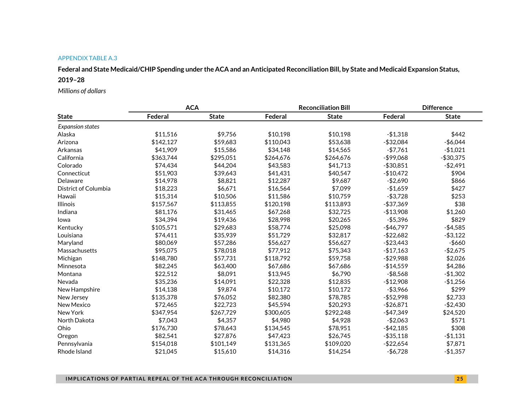#### APPENDIX TABLE A.3

**Federal and State Medicaid/CHIP Spending under the ACA and an Anticipated Reconciliation Bill, by State and Medicaid Expansion Status,** 

#### **2019–28**

*Millions of dollars*

|                         | <b>ACA</b> |              |           | <b>Reconciliation Bill</b> |              | <b>Difference</b> |
|-------------------------|------------|--------------|-----------|----------------------------|--------------|-------------------|
| <b>State</b>            | Federal    | <b>State</b> | Federal   | <b>State</b>               | Federal      | <b>State</b>      |
| <b>Expansion states</b> |            |              |           |                            |              |                   |
| Alaska                  | \$11,516   | \$9,756      | \$10,198  | \$10,198                   | $-$1,318$    | \$442             |
| Arizona                 | \$142,127  | \$59,683     | \$110,043 | \$53,638                   | $- $32,084$  | $-$6,044$         |
| Arkansas                | \$41,909   | \$15,586     | \$34,148  | \$14,565                   | $-$7,761$    | $-$1,021$         |
| California              | \$363,744  | \$295,051    | \$264,676 | \$264,676                  | -\$99,068    | $-$30,375$        |
| Colorado                | \$74,434   | \$44,204     | \$43,583  | \$41,713                   | $-$ \$30,851 | $-$ \$2,491       |
| Connecticut             | \$51,903   | \$39,643     | \$41,431  | \$40,547                   | $-$10,472$   | \$904             |
| Delaware                | \$14,978   | \$8,821      | \$12,287  | \$9,687                    | $-$2,690$    | \$866             |
| District of Columbia    | \$18,223   | \$6,671      | \$16,564  | \$7,099                    | $-$1,659$    | \$427             |
| Hawaii                  | \$15,314   | \$10,506     | \$11,586  | \$10,759                   | $- $3,728$   | \$253             |
| <b>Illinois</b>         | \$157,567  | \$113,855    | \$120,198 | \$113,893                  | -\$37,369    | \$38              |
| Indiana                 | \$81,176   | \$31,465     | \$67,268  | \$32,725                   | $-$13,908$   | \$1,260           |
| lowa                    | \$34,394   | \$19,436     | \$28,998  | \$20,265                   | $- $5,396$   | \$829             |
| Kentucky                | \$105,571  | \$29,683     | \$58,774  | \$25,098                   | $-$46,797$   | $-$4,585$         |
| Louisiana               | \$74,411   | \$35,939     | \$51,729  | \$32,817                   | $-$ \$22,682 | $-$ \$3,122       |
| Maryland                | \$80,069   | \$57,286     | \$56,627  | \$56,627                   | $-$23,443$   | $-$660$           |
| Massachusetts           | \$95,075   | \$78,018     | \$77,912  | \$75,343                   | $-$17,163$   | $-$2,675$         |
| Michigan                | \$148,780  | \$57,731     | \$118,792 | \$59,758                   | $-$ \$29,988 | \$2,026           |
| Minnesota               | \$82,245   | \$63,400     | \$67,686  | \$67,686                   | $-$14,559$   | \$4,286           |
| Montana                 | \$22,512   | \$8,091      | \$13,945  | \$6,790                    | $- $8,568$   | $-$1,302$         |
| Nevada                  | \$35,236   | \$14,091     | \$22,328  | \$12,835                   | $-$12,908$   | $-$1,256$         |
| New Hampshire           | \$14,138   | \$9,874      | \$10,172  | \$10,172                   | -\$3,966     | \$299             |
| New Jersey              | \$135,378  | \$76,052     | \$82,380  | \$78,785                   | $- $52,998$  | \$2,733           |
| New Mexico              | \$72,465   | \$22,723     | \$45,594  | \$20,293                   | $-$ \$26,871 | $-$2,430$         |
| New York                | \$347,954  | \$267,729    | \$300,605 | \$292,248                  | $-$47,349$   | \$24,520          |
| North Dakota            | \$7,043    | \$4,357      | \$4,980   | \$4,928                    | $-$2,063$    | \$571             |
| Ohio                    | \$176,730  | \$78,643     | \$134,545 | \$78,951                   | $-$ \$42,185 | \$308             |
| Oregon                  | \$82,541   | \$27,876     | \$47,423  | \$26,745                   | $- $35,118$  | $-$1,131$         |
| Pennsylvania            | \$154,018  | \$101,149    | \$131,365 | \$109,020                  | $-$ \$22,654 | \$7,871           |
| Rhode Island            | \$21,045   | \$15,610     | \$14,316  | \$14,254                   | -\$6,728     | $-$1,357$         |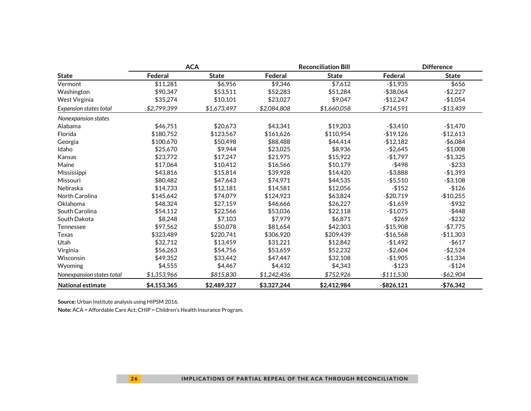|                           |             | <b>ACA</b>   |             | <b>Reconciliation Bill</b> |               | <b>Difference</b> |
|---------------------------|-------------|--------------|-------------|----------------------------|---------------|-------------------|
| <b>State</b>              | Federal     | <b>State</b> | Federal     | <b>State</b>               | Federal       | <b>State</b>      |
| Vermont                   | \$11,281    | \$6,956      | \$9,346     | \$7,612                    | $-$1,935$     | \$656             |
| Washington                | \$90,347    | \$53,511     | \$52,283    | \$51,284                   | $-$ \$38,064  | $-$2,227$         |
| West Virginia             | \$35,274    | \$10,101     | \$23,027    | \$9,047                    | $-$12,247$    | $-$1,054$         |
| Expansion states total    | \$2,799,399 | \$1,673,497  | \$2,084,808 | \$1,660,058                | $-$714,591$   | $-$13,439$        |
| Nonexpansion states       |             |              |             |                            |               |                   |
| Alabama                   | \$46,751    | \$20,673     | \$43,341    | \$19,203                   | $- $3,410$    | $-$1,470$         |
| Florida                   | \$180,752   | \$123,567    | \$161,626   | \$110,954                  | $-$19,126$    | $-$12,613$        |
| Georgia                   | \$100,670   | \$50,498     | \$88,488    | \$44,414                   | $-$12,182$    | $-$6,084$         |
| Idaho                     | \$25,670    | \$9,944      | \$23,025    | \$8,936                    | $-$2,645$     | $-$1,008$         |
| Kansas                    | \$23,772    | \$17,247     | \$21,975    | \$15,922                   | $-$1,797$     | $-$1,325$         |
| Maine                     | \$17,064    | \$10,412     | \$16,566    | \$10,179                   | $-$ \$498     | $-$233$           |
| Mississippi               | \$43,816    | \$15,814     | \$39,928    | \$14,420                   | $- $3.888$    | $-$1,393$         |
| Missouri                  | \$80,482    | \$47.643     | \$74.971    | \$44,535                   | $- $5,510$    | $- $3,108$        |
| Nebraska                  | \$14,733    | \$12,181     | \$14.581    | \$12,056                   | $-$ \$152     | $-$126$           |
| North Carolina            | \$145,642   | \$74,079     | \$124,923   | \$63,824                   | $- $20,719$   | $-$10,255$        |
| Oklahoma                  | \$48,324    | \$27,159     | \$46,666    | \$26,227                   | $-$1,659$     | $-$ \$932         |
| South Carolina            | \$54,112    | \$22,566     | \$53,036    | \$22,118                   | $-$1,075$     | $-$ \$448         |
| South Dakota              | \$8,248     | \$7,103      | \$7,979     | \$6,871                    | $-$269$       | $-$232$           |
| Tennessee                 | \$97,562    | \$50,078     | \$81,654    | \$42,303                   | $-$15,908$    | $-$7,775$         |
| Texas                     | \$323,489   | \$220,741    | \$306,920   | \$209,439                  | $-$16,568$    | $-$11,303$        |
| Utah                      | \$32.712    | \$13,459     | \$31,221    | \$12,842                   | $-$1,492$     | $- $617$          |
| Virginia                  | \$56,263    | \$54,756     | \$53,659    | \$52,232                   | $-$2,604$     | $-$2,524$         |
| Wisconsin                 | \$49,352    | \$33,442     | \$47,447    | \$32,108                   | $-$1,905$     | $-$1,334$         |
| Wyoming                   | \$4,555     | \$4,467      | \$4,432     | \$4,343                    | $-$123$       | $-$124$           |
| Nonexpansion states total | \$1,353,966 | \$815,830    | \$1,242,436 | \$752,926                  | $-$111,530$   | $- $62,904$       |
| <b>National estimate</b>  | \$4,153,365 | \$2,489,327  | \$3,327,244 | \$2,412,984                | $-$ \$826,121 | $-$76,342$        |

**Note:** ACA = Affordable Care Act; CHIP = Children's Health Insurance Program.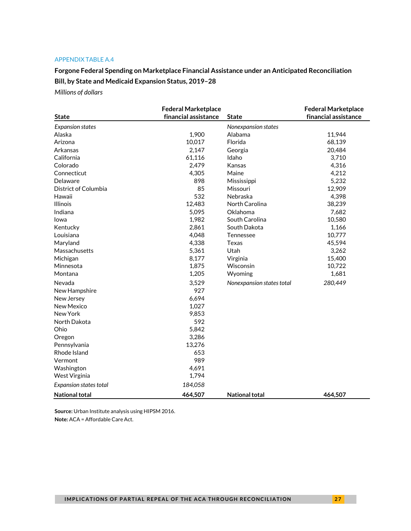#### APPENDIX TABLE A.4

**Forgone Federal Spending on Marketplace Financial Assistance under an Anticipated Reconciliation Bill, by State and Medicaid Expansion Status, 2019–28** 

*Millions of dollars*

|                               | <b>Federal Marketplace</b> |                           | <b>Federal Marketplace</b> |
|-------------------------------|----------------------------|---------------------------|----------------------------|
| <b>State</b>                  | financial assistance       | <b>State</b>              | financial assistance       |
| <b>Expansion states</b>       |                            | Nonexpansion states       |                            |
| Alaska                        | 1,900                      | Alabama                   | 11,944                     |
| Arizona                       | 10,017                     | Florida                   | 68,139                     |
| Arkansas                      | 2,147                      | Georgia                   | 20,484                     |
| California                    | 61,116                     | Idaho                     | 3,710                      |
| Colorado                      | 2,479                      | Kansas                    | 4,316                      |
| Connecticut                   | 4,305                      | Maine                     | 4,212                      |
| Delaware                      | 898                        | Mississippi               | 5,232                      |
| District of Columbia          | 85                         | Missouri                  | 12,909                     |
| Hawaii                        | 532                        | Nebraska                  | 4,398                      |
| <b>Illinois</b>               | 12,483                     | North Carolina            | 38,239                     |
| Indiana                       | 5,095                      | Oklahoma                  | 7,682                      |
| lowa                          | 1,982                      | South Carolina            | 10,580                     |
| Kentucky                      | 2,861                      | South Dakota              | 1,166                      |
| Louisiana                     | 4,048                      | Tennessee                 | 10,777                     |
| Maryland                      | 4,338                      | Texas                     | 45,594                     |
| Massachusetts                 | 5,361                      | Utah                      | 3,262                      |
| Michigan                      | 8,177                      | Virginia                  | 15,400                     |
| Minnesota                     | 1,875                      | Wisconsin                 | 10,722                     |
| Montana                       | 1,205                      | Wyoming                   | 1,681                      |
| Nevada                        | 3,529                      | Nonexpansion states total | 280,449                    |
| New Hampshire                 | 927                        |                           |                            |
| New Jersey                    | 6,694                      |                           |                            |
| New Mexico                    | 1,027                      |                           |                            |
| New York                      | 9,853                      |                           |                            |
| North Dakota                  | 592                        |                           |                            |
| Ohio                          | 5,842                      |                           |                            |
| Oregon                        | 3,286                      |                           |                            |
| Pennsylvania                  | 13,276                     |                           |                            |
| Rhode Island                  | 653                        |                           |                            |
| Vermont                       | 989                        |                           |                            |
| Washington                    | 4,691                      |                           |                            |
| West Virginia                 | 1,794                      |                           |                            |
| <b>Expansion states total</b> | 184,058                    |                           |                            |
| <b>National total</b>         | 464,507                    | <b>National total</b>     | 464,507                    |

**Source:** Urban Institute analysis using HIPSM 2016. **Note:** ACA = Affordable Care Act.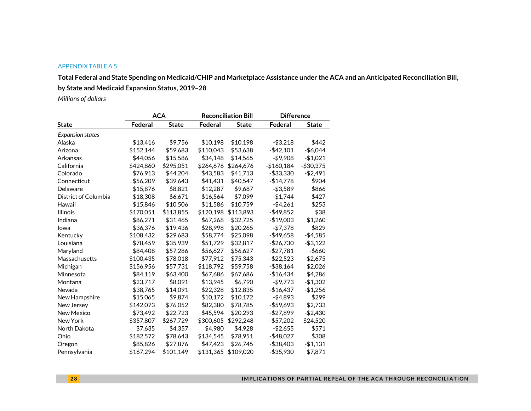#### APPENDIX TABLE A.5

**Total Federal and State Spending on Medicaid/CHIP and Marketplace Assistance under the ACA and an Anticipated Reconciliation Bill, by State and Medicaid Expansion Status, 2019–28** 

*Millions of dollars*

|                      |           | <b>ACA</b>   |           | <b>Reconciliation Bill</b> | <b>Difference</b> |              |
|----------------------|-----------|--------------|-----------|----------------------------|-------------------|--------------|
| <b>State</b>         | Federal   | <b>State</b> | Federal   | <b>State</b>               | Federal           | <b>State</b> |
| Expansion states     |           |              |           |                            |                   |              |
| Alaska               | \$13,416  | \$9,756      | \$10,198  | \$10,198                   | $- $3,218$        | \$442        |
| Arizona              | \$152,144 | \$59,683     | \$110,043 | \$53,638                   | $-$42,101$        | $-$6,044$    |
| Arkansas             | \$44,056  | \$15,586     | \$34,148  | \$14,565                   | $-$9,908$         | $-$1,021$    |
| California           | \$424,860 | \$295,051    | \$264,676 | \$264,676                  | $-$160,184$       | $-$30,375$   |
| Colorado             | \$76,913  | \$44,204     | \$43,583  | \$41,713                   | -\$33,330         | $-$2,491$    |
| Connecticut          | \$56,209  | \$39,643     | \$41,431  | \$40,547                   | $-$14,778$        | \$904        |
| Delaware             | \$15,876  | \$8,821      | \$12,287  | \$9,687                    | $- $3,589$        | \$866        |
| District of Columbia | \$18,308  | \$6,671      | \$16,564  | \$7,099                    | $-$1,744$         | \$427        |
| Hawaii               | \$15,846  | \$10,506     | \$11,586  | \$10,759                   | $-$4,261$         | \$253        |
| <b>Illinois</b>      | \$170,051 | \$113,855    | \$120,198 | \$113,893                  | $-$ \$49,852      | \$38         |
| Indiana              | \$86,271  | \$31,465     | \$67,268  | \$32,725                   | $-$19,003$        | \$1,260      |
| lowa                 | \$36,376  | \$19,436     | \$28,998  | \$20,265                   | $- $7,378$        | \$829        |
| Kentucky             | \$108,432 | \$29,683     | \$58,774  | \$25,098                   | $-$49,658$        | $-$4,585$    |
| Louisiana            | \$78,459  | \$35,939     | \$51,729  | \$32,817                   | $-$26,730$        | $- $3,122$   |
| Maryland             | \$84,408  | \$57,286     | \$56,627  | \$56,627                   | $- $27,781$       | -\$660       |
| Massachusetts        | \$100,435 | \$78,018     | \$77,912  | \$75,343                   | $-$22,523$        | $-$2,675$    |
| Michigan             | \$156.956 | \$57,731     | \$118,792 | \$59,758                   | $- $38,164$       | \$2,026      |
| Minnesota            | \$84,119  | \$63,400     | \$67,686  | \$67,686                   | $-$16,434$        | \$4,286      |
| Montana              | \$23,717  | \$8,091      | \$13,945  | \$6,790                    | $-$9,773$         | $-$1,302$    |
| Nevada               | \$38,765  | \$14,091     | \$22,328  | \$12,835                   | $-$16,437$        | $-$1,256$    |
| New Hampshire        | \$15,065  | \$9,874      | \$10,172  | \$10,172                   | $-$4,893$         | \$299        |
| New Jersey           | \$142,073 | \$76,052     | \$82,380  | \$78,785                   | $-$59,693$        | \$2,733      |
| New Mexico           | \$73,492  | \$22,723     | \$45,594  | \$20,293                   | $-$27,899$        | $-$2,430$    |
| New York             | \$357,807 | \$267,729    | \$300,605 | \$292,248                  | $-$57,202$        | \$24,520     |
| North Dakota         | \$7,635   | \$4,357      | \$4,980   | \$4,928                    | $-$2,655$         | \$571        |
| Ohio                 | \$182,572 | \$78,643     | \$134,545 | \$78,951                   | $-$ \$48,027      | \$308        |
| Oregon               | \$85,826  | \$27,876     | \$47,423  | \$26,745                   | $-$ \$38,403      | $-$1,131$    |
| Pennsylvania         | \$167,294 | \$101,149    | \$131,365 | \$109,020                  | $-$ \$35,930      | \$7,871      |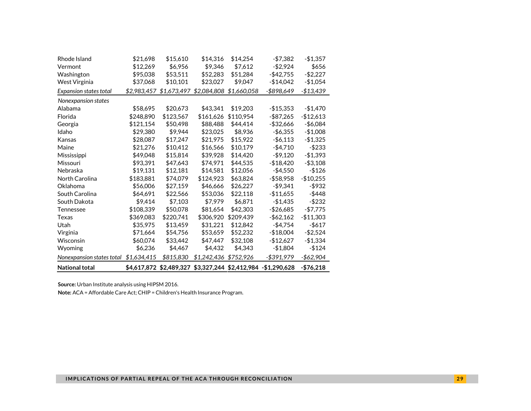| Rhode Island              | \$21,698    | \$15,610                            | \$14,316              | \$14,254    | $- $7,382$                                                   | $-$1,357$   |
|---------------------------|-------------|-------------------------------------|-----------------------|-------------|--------------------------------------------------------------|-------------|
| Vermont                   | \$12,269    | \$6,956                             | \$9,346               | \$7,612     | $-$2,924$                                                    | \$656       |
| Washington                | \$95,038    | \$53,511                            | \$52,283              | \$51,284    | $-$ \$42,755                                                 | $-$2,227$   |
| West Virginia             | \$37,068    | \$10,101                            | \$23,027              | \$9,047     | $-$14,042$                                                   | $-$1,054$   |
| Expansion states total    |             | \$2,983,457 \$1,673,497 \$2,084,808 |                       | \$1,660,058 | -\$898,649                                                   | $-$13,439$  |
| Nonexpansion states       |             |                                     |                       |             |                                                              |             |
| Alabama                   | \$58,695    | \$20,673                            | \$43,341              | \$19,203    | $-$15,353$                                                   | $-$1,470$   |
| Florida                   | \$248,890   | \$123,567                           | \$161.626             | \$110.954   | $-$ \$87,265                                                 | $-$12,613$  |
| Georgia                   | \$121,154   | \$50,498                            | \$88,488              | \$44,414    | $-$32,666$                                                   | $-$6,084$   |
| Idaho                     | \$29,380    | \$9.944                             | \$23,025              | \$8,936     | $-$ \$6,355                                                  | $-$1,008$   |
| Kansas                    | \$28,087    | \$17,247                            | \$21,975              | \$15,922    | $-$ \$6,113                                                  | $-$1,325$   |
| Maine                     | \$21,276    | \$10,412                            | \$16,566              | \$10,179    | $-$4,710$                                                    | $-$233$     |
| Mississippi               | \$49,048    | \$15,814                            | \$39,928              | \$14,420    | $-$ \$9.120                                                  | $-$1,393$   |
| Missouri                  | \$93,391    | \$47,643                            | \$74,971              | \$44,535    | $- $18,420$                                                  | $- $3,108$  |
| Nebraska                  | \$19,131    | \$12,181                            | \$14,581              | \$12,056    | $-$4,550$                                                    | $-$126$     |
| North Carolina            | \$183,881   | \$74,079                            | \$124,923             | \$63,824    | $- $58,958$                                                  | $-$10,255$  |
| Oklahoma                  | \$56,006    | \$27,159                            | \$46,666              | \$26,227    | $-$9,341$                                                    | -\$932      |
| South Carolina            | \$64,691    | \$22,566                            | \$53,036              | \$22,118    | $-$11,655$                                                   | $-$ \$448   |
| South Dakota              | \$9,414     | \$7,103                             | \$7,979               | \$6,871     | $-$1,435$                                                    | $-$ \$232   |
| Tennessee                 | \$108,339   | \$50,078                            | \$81,654              | \$42,303    | $-$26,685$                                                   | $-$7,775$   |
| Texas                     | \$369,083   | \$220,741                           | \$306,920             | \$209,439   | $-$ \$62,162                                                 | $-$11,303$  |
| Utah                      | \$35,975    | \$13,459                            | \$31,221              | \$12,842    | -\$4,754                                                     | $-$ \$617   |
| Virginia                  | \$71,664    | \$54,756                            | \$53,659              | \$52,232    | $-$18,004$                                                   | $-$2,524$   |
| Wisconsin                 | \$60,074    | \$33,442                            | \$47,447              | \$32,108    | $-$12,627$                                                   | $-$1,334$   |
| Wyoming                   | \$6,236     | \$4,467                             | \$4,432               | \$4,343     | $-$1,804$                                                    | $-$124$     |
| Nonexpansion states total | \$1,634,415 | \$815,830                           | \$1,242,436 \$752,926 |             | $- $391,979$                                                 | $-$62,904$  |
| <b>National total</b>     |             |                                     |                       |             | \$4,617,872 \$2,489,327 \$3,327,244 \$2,412,984 -\$1,290,628 | $- $76,218$ |

**Note:** ACA = Affordable Care Act; CHIP = Children's Health Insurance Program.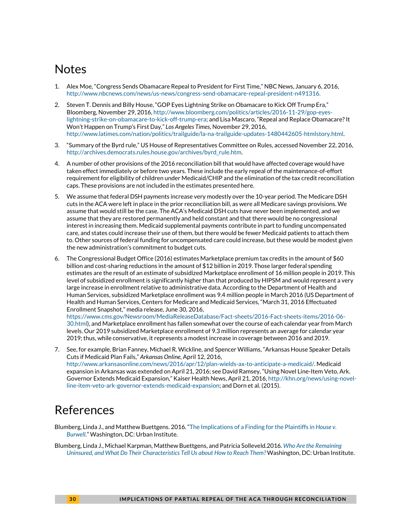### **Notes**

- <span id="page-29-0"></span>1. Alex Moe, "Congress Sends Obamacare Repeal to President for First Time," NBC News, January 6, 2016, [http://www.nbcnews.com/news/us-news/congress-send-obamacare-repeal-president-n491316.](http://www.nbcnews.com/news/us-news/congress-send-obamacare-repeal-president-n491316)
- <span id="page-29-1"></span>2. Steven T. Dennis and Billy House, "GOP Eyes Lightning Strike on Obamacare to Kick Off Trump Era," Bloomberg, November 29, 2016, [http://www.bloomberg.com/politics/articles/2016-11-29/gop-eyes](http://www.bloomberg.com/politics/articles/2016-11-29/gop-eyes-lightning-strike-on-obamacare-to-kick-off-trump-era)[lightning-strike-on-obamacare-to-kick-off-trump-era;](http://www.bloomberg.com/politics/articles/2016-11-29/gop-eyes-lightning-strike-on-obamacare-to-kick-off-trump-era) and Lisa Mascaro, "Repeal and Replace Obamacare? It Won't Happen on Trump's First Day," *Los Angeles Times,* November 29, 2016, http://www.latimes.com/nation/politics/trailguide/la-na-trailguide-updates-1480442605-htmlstory.html.
- <span id="page-29-2"></span>3. "Summary of the Byrd rule," US House of Representatives Committee on Rules, accessed November 22, 2016, [http://archives.democrats.rules.house.gov/archives/byrd\\_rule.htm.](http://archives.democrats.rules.house.gov/archives/byrd_rule.htm)
- <span id="page-29-3"></span>4. A number of other provisions of the 2016 reconciliation bill that would have affected coverage would have taken effect immediately or before two years. These include the early repeal of the maintenance-of-effort requirement for eligibility of children under Medicaid/CHIP and the elimination of the tax credit reconciliation caps. These provisions are not included in the estimates presented here.
- <span id="page-29-4"></span>5. We assume that federal DSH payments increase very modestly over the 10-year period. The Medicare DSH cuts in the ACA were left in place in the prior reconciliation bill, as were all Medicare savings provisions. We assume that would still be the case. The ACA's Medicaid DSH cuts have never been implemented, and we assume that they are restored permanently and held constant and that there would be no congressional interest in increasing them. Medicaid supplemental payments contribute in part to funding uncompensated care, and states could increase their use of them, but there would be fewer Medicaid patients to attach them to. Other sources of federal funding for uncompensated care could increase, but these would be modest given the new administration's commitment to budget cuts.
- 6. The Congressional Budget Office (2016) estimates Marketplace premium tax credits in the amount of \$60 billion and cost-sharing reductions in the amount of \$12 billion in 2019. Those larger federal spending estimates are the result of an estimate of subsidized Marketplace enrollment of 16 million people in 2019. This level of subsidized enrollment is significantly higher than that produced by HIPSM and would represent a very large increase in enrollment relative to administrative data. According to the Department of Health and Human Services, subsidized Marketplace enrollment was 9.4 million people in March 2016 (US Department of Health and Human Services, Centers for Medicare and Medicaid Services, "March 31, 2016 Effectuated Enrollment Snapshot," media release, June 30, 2016,

<span id="page-29-5"></span>[https://www.cms.gov/Newsroom/MediaReleaseDatabase/Fact-sheets/2016-Fact-sheets-items/2016-06-](https://www.cms.gov/Newsroom/MediaReleaseDatabase/Fact-sheets/2016-Fact-sheets-items/2016-06-30.html) [30.html\)](https://www.cms.gov/Newsroom/MediaReleaseDatabase/Fact-sheets/2016-Fact-sheets-items/2016-06-30.html), and Marketplace enrollment has fallen somewhat over the course of each calendar year from March levels. Our 2019 subsidized Marketplace enrollment of 9.3 million represents an average for calendar year 2019; thus, while conservative, it represents a modest increase in coverage between 2016 and 2019.

7. See, for example, Brian Fanney, Michael R. Wickline, and Spencer Williams, "Arkansas House Speaker Details Cuts if Medicaid Plan Fails," *Arkansas Online,* April 12, 2016, [http://www.arkansasonline.com/news/2016/apr/12/plan-wields-ax-to-anticipate-a-medicaid/.](http://www.arkansasonline.com/news/2016/apr/12/plan-wields-ax-to-anticipate-a-medicaid/) Medicaid expansion in Arkansas was extended on April 21, 2016; see David Ramsey, "Using Novel Line-Item Veto, Ark. Governor Extends Medicaid Expansion," Kaiser Health News, April 21, 2016, [http://khn.org/news/using-novel](http://khn.org/news/using-novel-line-item-veto-ark-governor-extends-medicaid-expansion)[line-item-veto-ark-governor-extends-medicaid-expansion;](http://khn.org/news/using-novel-line-item-veto-ark-governor-extends-medicaid-expansion) and Dorn et al. (2015).

### References

- Blumberg, Linda J., and Matthew Buettgens. 2016. ["The Implications of a Finding for the Plaintiffs in](http://www.urban.org/research/publication/implications-finding-plaintiffs-house-v-burwell) *House v. [Burwell](http://www.urban.org/research/publication/implications-finding-plaintiffs-house-v-burwell)*." Washington, DC: Urban Institute.
- Blumberg, Linda J., Michael Karpman, Matthew Buettgens, and Patricia Solleveld.2016. *[Who Are the Remaining](http://www.urban.org/research/publication/who-are-remaining-uninsured-and-what-do-their-characteristics-tell-us-about-how-reach-them)  [Uninsured, and What Do Their Characteristics Tell Us about How to Reach Them?](http://www.urban.org/research/publication/who-are-remaining-uninsured-and-what-do-their-characteristics-tell-us-about-how-reach-them)* Washington, DC: Urban Institute.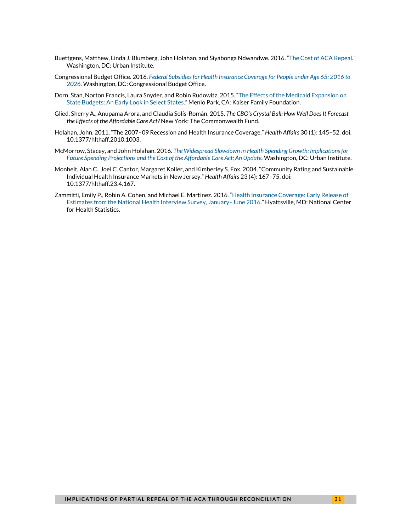- Buettgens, Matthew, Linda J. Blumberg, John Holahan, and Siyabonga Ndwandwe. 2016. ["The Cost of ACA Repeal."](http://www.urban.org/research/publication/cost-aca-repeal) Washington, DC: Urban Institute.
- Congressional Budget Office. 2016. *[Federal Subsidies for Health Insurance Coverage for People under Age 65: 2016 to](https://www.cbo.gov/sites/default/files/114th-congress-2015-2016/reports/51385-HealthInsuranceBaseline.pdf)  [2026.](https://www.cbo.gov/sites/default/files/114th-congress-2015-2016/reports/51385-HealthInsuranceBaseline.pdf)* Washington, DC: Congressional Budget Office.
- Dorn, Stan, Norton Francis, Laura Snyder, and Robin Rudowitz. 2015. ["The Effects of the Medicaid Expansion on](http://files.kff.org/attachment/issue-brief-the-effects-of-the-medicaid-expansion-on-state-budgets-an-early-look-in-select-states)  [State Budgets: An Early Look in Select States."](http://files.kff.org/attachment/issue-brief-the-effects-of-the-medicaid-expansion-on-state-budgets-an-early-look-in-select-states) Menlo Park, CA: Kaiser Family Foundation.
- Glied, Sherry A., Anupama Arora, and Claudia Solís-Román. 2015. *The CBO's Crystal Ball: How Well Does It Forecast the Effects of the Affordable Care Act?* New York: The Commonwealth Fund.
- Holahan, John. 2011. "The 2007–09 Recession and Health Insurance Coverage." *Health Affairs* 30 (1): 145–52. doi: 10.1377/hlthaff.2010.1003.
- McMorrow, Stacey, and John Holahan. 2016. *The Widespread Slowdown [in Health Spending Growth: Implications for](http://www.urban.org/research/publication/widespread-slowdown-health-spending-growth-implications-future-spending-projections-and-cost-affordable-care-act-update)  Future Spending Projections [and the Cost of the Affordable Care Act; An Update.](http://www.urban.org/research/publication/widespread-slowdown-health-spending-growth-implications-future-spending-projections-and-cost-affordable-care-act-update)* Washington, DC: Urban Institute.
- Monheit, Alan C., Joel C. Cantor, Margaret Koller, and Kimberley S. Fox. 2004. "Community Rating and Sustainable Individual Health Insurance Markets in New Jersey." *Health Affairs* 23 (4): 167–75. doi: 10.1377/hlthaff.23.4.167.
- Zammitti, Emily P., Robin A. Cohen, and Michael E. Martinez. 2016. ["Health Insurance Coverage: Early Release of](http://www.cdc.gov/nchs/data/nhis/earlyrelease/insur201611.pdf)  [Estimates from the National Health Interview Survey, January–June 2016.](http://www.cdc.gov/nchs/data/nhis/earlyrelease/insur201611.pdf)" Hyattsville, MD: National Center for Health Statistics.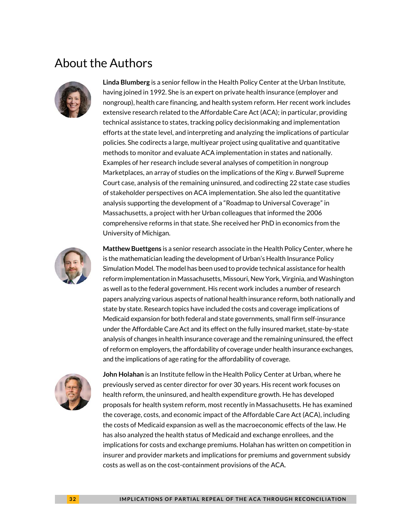### About the Authors



**Linda Blumberg** is a senior fellow in the Health Policy Center at the Urban Institute, having joined in 1992. She is an expert on private health insurance (employer and nongroup), health care financing, and health system reform. Her recent work includes extensive research related to the Affordable Care Act (ACA); in particular, providing technical assistance to states, tracking policy decisionmaking and implementation efforts at the state level, and interpreting and analyzing the implications of particular policies. She codirects a large, multiyear project using qualitative and quantitative methods to monitor and evaluate ACA implementation in states and nationally. Examples of her research include several analyses of competition in nongroup Marketplaces, an array of studies on the implications of the *King v. Burwell* Supreme Court case, analysis of the remaining uninsured, and codirecting 22 state case studies of stakeholder perspectives on ACA implementation. She also led the quantitative analysis supporting the development of a "Roadmap to Universal Coverage" in Massachusetts, a project with her Urban colleagues that informed the 2006 comprehensive reforms in that state. She received her PhD in economics from the University of Michigan.



**Matthew Buettgens** is a senior research associate in the Health Policy Center, where he is the mathematician leading the development of Urban's Health Insurance Policy Simulation Model. The model has been used to provide technical assistance for health reform implementation in Massachusetts, Missouri, New York, Virginia, and Washington as well as to the federal government. His recent work includes a number of research papers analyzing various aspects of national health insurance reform, both nationally and state by state. Research topics have included the costs and coverage implications of Medicaid expansion for both federal and state governments, small firm self-insurance under the Affordable Care Act and its effect on the fully insured market, state-by-state analysis of changes in health insurance coverage and the remaining uninsured, the effect of reform on employers, the affordability of coverage under health insurance exchanges, and the implications of age rating for the affordability of coverage.



**John Holahan** is an Institute fellow in the Health Policy Center at Urban, where he previously served as center director for over 30 years. His recent work focuses on health reform, the uninsured, and health expenditure growth. He has developed proposals for health system reform, most recently in Massachusetts. He has examined the coverage, costs, and economic impact of the Affordable Care Act (ACA), including the costs of Medicaid expansion as well as the macroeconomic effects of the law. He has also analyzed the health status of Medicaid and exchange enrollees, and the implications for costs and exchange premiums. Holahan has written on competition in insurer and provider markets and implications for premiums and government subsidy costs as well as on the cost-containment provisions of the ACA.